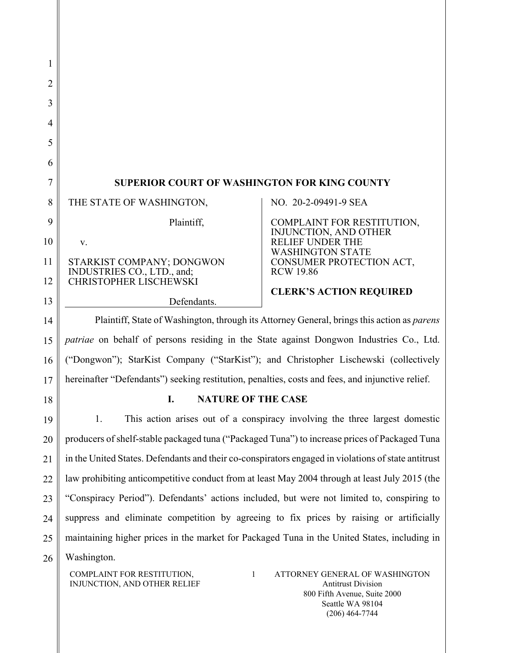| 1        |                                                                                                                                                                                                                   |
|----------|-------------------------------------------------------------------------------------------------------------------------------------------------------------------------------------------------------------------|
| 2        |                                                                                                                                                                                                                   |
| 3        |                                                                                                                                                                                                                   |
| 4        |                                                                                                                                                                                                                   |
| 5        |                                                                                                                                                                                                                   |
| 6        |                                                                                                                                                                                                                   |
| 7        | <b>SUPERIOR COURT OF WASHINGTON FOR KING COUNTY</b>                                                                                                                                                               |
| 8        | THE STATE OF WASHINGTON,<br>NO. 20-2-09491-9 SEA                                                                                                                                                                  |
| 9        | Plaintiff,<br>COMPLAINT FOR RESTITUTION,<br><b>INJUNCTION, AND OTHER</b>                                                                                                                                          |
| 10       | RELIEF UNDER THE<br>V.<br><b>WASHINGTON STATE</b>                                                                                                                                                                 |
| 11<br>12 | STARKIST COMPANY; DONGWON<br>CONSUMER PROTECTION ACT,<br>INDUSTRIES CO., LTD., and;<br><b>RCW 19.86</b><br><b>CHRISTOPHER LISCHEWSKI</b>                                                                          |
| 13       | <b>CLERK'S ACTION REQUIRED</b><br>Defendants.                                                                                                                                                                     |
| 14       | Plaintiff, State of Washington, through its Attorney General, brings this action as <i>parens</i>                                                                                                                 |
| 15       | patriae on behalf of persons residing in the State against Dongwon Industries Co., Ltd.                                                                                                                           |
| 16       | ("Dongwon"); StarKist Company ("StarKist"); and Christopher Lischewski (collectively                                                                                                                              |
| 17       | hereinafter "Defendants") seeking restitution, penalties, costs and fees, and injunctive relief.                                                                                                                  |
| 18       | <b>NATURE OF THE CASE</b><br>I.                                                                                                                                                                                   |
| 19       | This action arises out of a conspiracy involving the three largest domestic<br>1.                                                                                                                                 |
| 20       | producers of shelf-stable packaged tuna ("Packaged Tuna") to increase prices of Packaged Tuna                                                                                                                     |
| 21       | in the United States. Defendants and their co-conspirators engaged in violations of state antitrust                                                                                                               |
| 22       | law prohibiting anticompetitive conduct from at least May 2004 through at least July 2015 (the                                                                                                                    |
| 23       | "Conspiracy Period"). Defendants' actions included, but were not limited to, conspiring to                                                                                                                        |
| 24       | suppress and eliminate competition by agreeing to fix prices by raising or artificially                                                                                                                           |
| 25       | maintaining higher prices in the market for Packaged Tuna in the United States, including in                                                                                                                      |
| 26       | Washington.                                                                                                                                                                                                       |
|          | COMPLAINT FOR RESTITUTION,<br>$\mathbf{1}$<br>ATTORNEY GENERAL OF WASHINGTON<br>INJUNCTION, AND OTHER RELIEF<br><b>Antitrust Division</b><br>800 Fifth Avenue, Suite 2000<br>Seattle WA 98104<br>$(206)$ 464-7744 |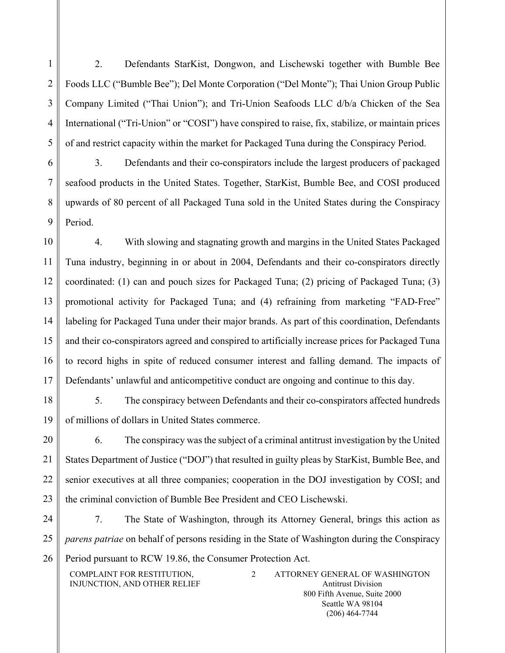1 2 3 4 5 2. Defendants StarKist, Dongwon, and Lischewski together with Bumble Bee Foods LLC ("Bumble Bee"); Del Monte Corporation ("Del Monte"); Thai Union Group Public Company Limited ("Thai Union"); and Tri-Union Seafoods LLC d/b/a Chicken of the Sea International ("Tri-Union" or "COSI") have conspired to raise, fix, stabilize, or maintain prices of and restrict capacity within the market for Packaged Tuna during the Conspiracy Period.

6 7 8 9 3. Defendants and their co-conspirators include the largest producers of packaged seafood products in the United States. Together, StarKist, Bumble Bee, and COSI produced upwards of 80 percent of all Packaged Tuna sold in the United States during the Conspiracy Period.

10 11 12 13 14 15 16 17 4. With slowing and stagnating growth and margins in the United States Packaged Tuna industry, beginning in or about in 2004, Defendants and their co-conspirators directly coordinated: (1) can and pouch sizes for Packaged Tuna; (2) pricing of Packaged Tuna; (3) promotional activity for Packaged Tuna; and (4) refraining from marketing "FAD-Free" labeling for Packaged Tuna under their major brands. As part of this coordination, Defendants and their co-conspirators agreed and conspired to artificially increase prices for Packaged Tuna to record highs in spite of reduced consumer interest and falling demand. The impacts of Defendants' unlawful and anticompetitive conduct are ongoing and continue to this day.

18

19

5. The conspiracy between Defendants and their co-conspirators affected hundreds of millions of dollars in United States commerce.

20 21 22 23 6. The conspiracy was the subject of a criminal antitrust investigation by the United States Department of Justice ("DOJ") that resulted in guilty pleas by StarKist, Bumble Bee, and senior executives at all three companies; cooperation in the DOJ investigation by COSI; and the criminal conviction of Bumble Bee President and CEO Lischewski.

24 25 26 7. The State of Washington, through its Attorney General, brings this action as *parens patriae* on behalf of persons residing in the State of Washington during the Conspiracy Period pursuant to RCW 19.86, the Consumer Protection Act.

COMPLAINT FOR RESTITUTION, INJUNCTION, AND OTHER RELIEF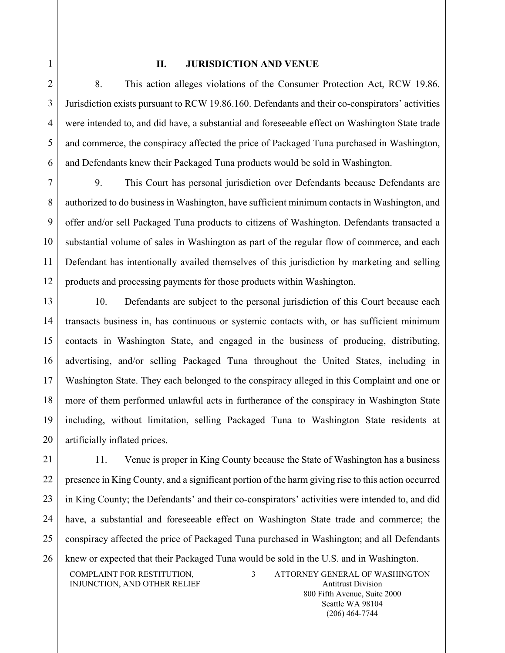# **II. JURISDICTION AND VENUE**

8. This action alleges violations of the Consumer Protection Act, RCW 19.86. Jurisdiction exists pursuant to RCW 19.86.160. Defendants and their co-conspirators' activities were intended to, and did have, a substantial and foreseeable effect on Washington State trade and commerce, the conspiracy affected the price of Packaged Tuna purchased in Washington, and Defendants knew their Packaged Tuna products would be sold in Washington.

7 8 9 10 11 12 9. This Court has personal jurisdiction over Defendants because Defendants are authorized to do business in Washington, have sufficient minimum contacts in Washington, and offer and/or sell Packaged Tuna products to citizens of Washington. Defendants transacted a substantial volume of sales in Washington as part of the regular flow of commerce, and each Defendant has intentionally availed themselves of this jurisdiction by marketing and selling products and processing payments for those products within Washington.

13 14 15 16 17 18 19 20 10. Defendants are subject to the personal jurisdiction of this Court because each transacts business in, has continuous or systemic contacts with, or has sufficient minimum contacts in Washington State, and engaged in the business of producing, distributing, advertising, and/or selling Packaged Tuna throughout the United States, including in Washington State. They each belonged to the conspiracy alleged in this Complaint and one or more of them performed unlawful acts in furtherance of the conspiracy in Washington State including, without limitation, selling Packaged Tuna to Washington State residents at artificially inflated prices.

21 22 23 24 25 26 COMPLAINT FOR RESTITUTION, INJUNCTION, AND OTHER RELIEF 3 ATTORNEY GENERAL OF WASHINGTON 11. Venue is proper in King County because the State of Washington has a business presence in King County, and a significant portion of the harm giving rise to this action occurred in King County; the Defendants' and their co-conspirators' activities were intended to, and did have, a substantial and foreseeable effect on Washington State trade and commerce; the conspiracy affected the price of Packaged Tuna purchased in Washington; and all Defendants knew or expected that their Packaged Tuna would be sold in the U.S. and in Washington.

1

2

3

4

5

6

Antitrust Division 800 Fifth Avenue, Suite 2000 Seattle WA 98104 (206) 464-7744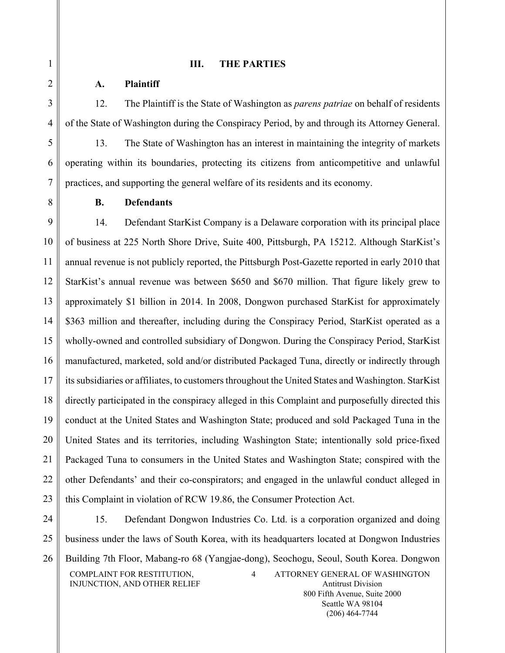# **III. THE PARTIES**

# **A. Plaintiff**

1

2

3

4

5

6

7

8

12. The Plaintiff is the State of Washington as *parens patriae* on behalf of residents of the State of Washington during the Conspiracy Period, by and through its Attorney General.

13. The State of Washington has an interest in maintaining the integrity of markets operating within its boundaries, protecting its citizens from anticompetitive and unlawful practices, and supporting the general welfare of its residents and its economy.

# **B. Defendants**

9 10 11 12 13 14 15 16 17 18 19 20 21 22 23 14. Defendant StarKist Company is a Delaware corporation with its principal place of business at 225 North Shore Drive, Suite 400, Pittsburgh, PA 15212. Although StarKist's annual revenue is not publicly reported, the Pittsburgh Post-Gazette reported in early 2010 that StarKist's annual revenue was between \$650 and \$670 million. That figure likely grew to approximately \$1 billion in 2014. In 2008, Dongwon purchased StarKist for approximately \$363 million and thereafter, including during the Conspiracy Period, StarKist operated as a wholly-owned and controlled subsidiary of Dongwon. During the Conspiracy Period, StarKist manufactured, marketed, sold and/or distributed Packaged Tuna, directly or indirectly through its subsidiaries or affiliates, to customers throughout the United States and Washington. StarKist directly participated in the conspiracy alleged in this Complaint and purposefully directed this conduct at the United States and Washington State; produced and sold Packaged Tuna in the United States and its territories, including Washington State; intentionally sold price-fixed Packaged Tuna to consumers in the United States and Washington State; conspired with the other Defendants' and their co-conspirators; and engaged in the unlawful conduct alleged in this Complaint in violation of RCW 19.86, the Consumer Protection Act.

24 25 26 COMPLAINT FOR RESTITUTION, INJUNCTION, AND OTHER RELIEF 4 ATTORNEY GENERAL OF WASHINGTON Antitrust Division 800 Fifth Avenue, Suite 2000 15. Defendant Dongwon Industries Co. Ltd. is a corporation organized and doing business under the laws of South Korea, with its headquarters located at Dongwon Industries Building 7th Floor, Mabang-ro 68 (Yangjae-dong), Seochogu, Seoul, South Korea. Dongwon

> Seattle WA 98104 (206) 464-7744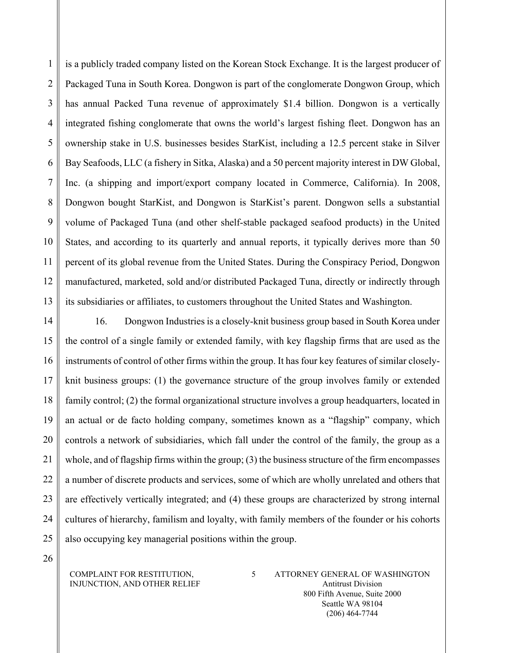1  $\overline{2}$ 3 4 5 6 7 8 9 10 11 12 13 is a publicly traded company listed on the Korean Stock Exchange. It is the largest producer of Packaged Tuna in South Korea. Dongwon is part of the conglomerate Dongwon Group, which has annual Packed Tuna revenue of approximately \$1.4 billion. Dongwon is a vertically integrated fishing conglomerate that owns the world's largest fishing fleet. Dongwon has an ownership stake in U.S. businesses besides StarKist, including a 12.5 percent stake in Silver Bay Seafoods, LLC (a fishery in Sitka, Alaska) and a 50 percent majority interest in DW Global, Inc. (a shipping and import/export company located in Commerce, California). In 2008, Dongwon bought StarKist, and Dongwon is StarKist's parent. Dongwon sells a substantial volume of Packaged Tuna (and other shelf-stable packaged seafood products) in the United States, and according to its quarterly and annual reports, it typically derives more than 50 percent of its global revenue from the United States. During the Conspiracy Period, Dongwon manufactured, marketed, sold and/or distributed Packaged Tuna, directly or indirectly through its subsidiaries or affiliates, to customers throughout the United States and Washington.

14 15 16 17 18 19 20 21 22 23 24 25 16. Dongwon Industries is a closely-knit business group based in South Korea under the control of a single family or extended family, with key flagship firms that are used as the instruments of control of other firms within the group. It has four key features of similar closelyknit business groups: (1) the governance structure of the group involves family or extended family control; (2) the formal organizational structure involves a group headquarters, located in an actual or de facto holding company, sometimes known as a "flagship" company, which controls a network of subsidiaries, which fall under the control of the family, the group as a whole, and of flagship firms within the group; (3) the business structure of the firm encompasses a number of discrete products and services, some of which are wholly unrelated and others that are effectively vertically integrated; and (4) these groups are characterized by strong internal cultures of hierarchy, familism and loyalty, with family members of the founder or his cohorts also occupying key managerial positions within the group.

26

#### COMPLAINT FOR RESTITUTION, INJUNCTION, AND OTHER RELIEF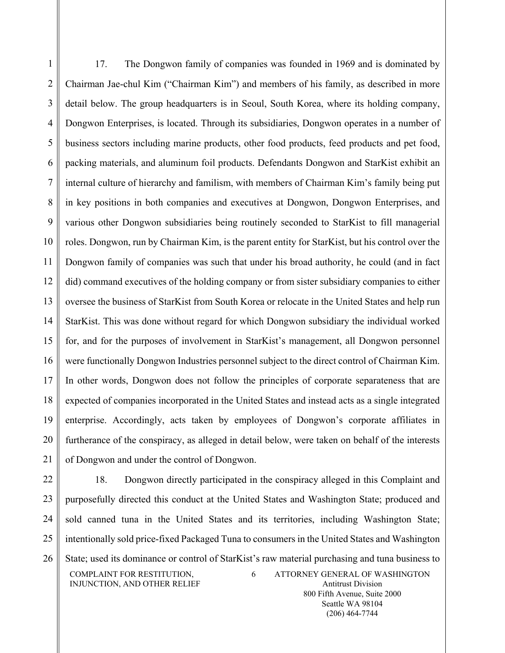1 2 3 4 5 6 7 8 9 10 11 12 13 14 15 16 17 18 19 20 21 17. The Dongwon family of companies was founded in 1969 and is dominated by Chairman Jae-chul Kim ("Chairman Kim") and members of his family, as described in more detail below. The group headquarters is in Seoul, South Korea, where its holding company, Dongwon Enterprises, is located. Through its subsidiaries, Dongwon operates in a number of business sectors including marine products, other food products, feed products and pet food, packing materials, and aluminum foil products. Defendants Dongwon and StarKist exhibit an internal culture of hierarchy and familism, with members of Chairman Kim's family being put in key positions in both companies and executives at Dongwon, Dongwon Enterprises, and various other Dongwon subsidiaries being routinely seconded to StarKist to fill managerial roles. Dongwon, run by Chairman Kim, is the parent entity for StarKist, but his control over the Dongwon family of companies was such that under his broad authority, he could (and in fact did) command executives of the holding company or from sister subsidiary companies to either oversee the business of StarKist from South Korea or relocate in the United States and help run StarKist. This was done without regard for which Dongwon subsidiary the individual worked for, and for the purposes of involvement in StarKist's management, all Dongwon personnel were functionally Dongwon Industries personnel subject to the direct control of Chairman Kim. In other words, Dongwon does not follow the principles of corporate separateness that are expected of companies incorporated in the United States and instead acts as a single integrated enterprise. Accordingly, acts taken by employees of Dongwon's corporate affiliates in furtherance of the conspiracy, as alleged in detail below, were taken on behalf of the interests of Dongwon and under the control of Dongwon.

22 23 24 25 26 COMPLAINT FOR RESTITUTION, INJUNCTION, AND OTHER RELIEF 6 ATTORNEY GENERAL OF WASHINGTON Antitrust Division 18. Dongwon directly participated in the conspiracy alleged in this Complaint and purposefully directed this conduct at the United States and Washington State; produced and sold canned tuna in the United States and its territories, including Washington State; intentionally sold price-fixed Packaged Tuna to consumers in the United States and Washington State; used its dominance or control of StarKist's raw material purchasing and tuna business to

800 Fifth Avenue, Suite 2000 Seattle WA 98104 (206) 464-7744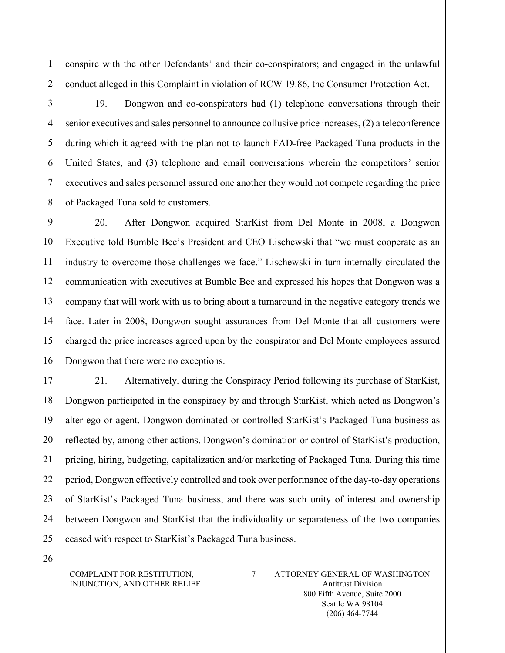conspire with the other Defendants' and their co-conspirators; and engaged in the unlawful conduct alleged in this Complaint in violation of RCW 19.86, the Consumer Protection Act.

19. Dongwon and co-conspirators had (1) telephone conversations through their senior executives and sales personnel to announce collusive price increases, (2) a teleconference during which it agreed with the plan not to launch FAD-free Packaged Tuna products in the United States, and (3) telephone and email conversations wherein the competitors' senior executives and sales personnel assured one another they would not compete regarding the price of Packaged Tuna sold to customers.

9 10 11 12 13 14 15 16 20. After Dongwon acquired StarKist from Del Monte in 2008, a Dongwon Executive told Bumble Bee's President and CEO Lischewski that "we must cooperate as an industry to overcome those challenges we face." Lischewski in turn internally circulated the communication with executives at Bumble Bee and expressed his hopes that Dongwon was a company that will work with us to bring about a turnaround in the negative category trends we face. Later in 2008, Dongwon sought assurances from Del Monte that all customers were charged the price increases agreed upon by the conspirator and Del Monte employees assured Dongwon that there were no exceptions.

17 18 19 20 21 22 23 24 25 21. Alternatively, during the Conspiracy Period following its purchase of StarKist, Dongwon participated in the conspiracy by and through StarKist, which acted as Dongwon's alter ego or agent. Dongwon dominated or controlled StarKist's Packaged Tuna business as reflected by, among other actions, Dongwon's domination or control of StarKist's production, pricing, hiring, budgeting, capitalization and/or marketing of Packaged Tuna. During this time period, Dongwon effectively controlled and took over performance of the day-to-day operations of StarKist's Packaged Tuna business, and there was such unity of interest and ownership between Dongwon and StarKist that the individuality or separateness of the two companies ceased with respect to StarKist's Packaged Tuna business.

26

1

2

3

4

5

6

7

8

#### COMPLAINT FOR RESTITUTION, INJUNCTION, AND OTHER RELIEF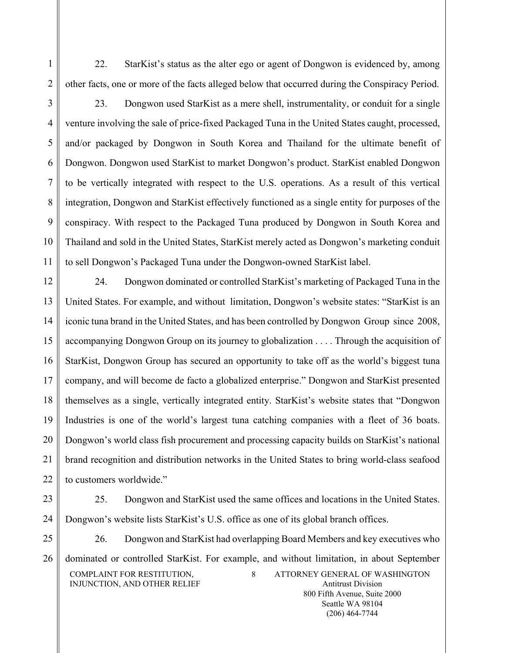22. StarKist's status as the alter ego or agent of Dongwon is evidenced by, among other facts, one or more of the facts alleged below that occurred during the Conspiracy Period.

1

2

3 4 5 6 7 8 9 10 11 23. Dongwon used StarKist as a mere shell, instrumentality, or conduit for a single venture involving the sale of price-fixed Packaged Tuna in the United States caught, processed, and/or packaged by Dongwon in South Korea and Thailand for the ultimate benefit of Dongwon. Dongwon used StarKist to market Dongwon's product. StarKist enabled Dongwon to be vertically integrated with respect to the U.S. operations. As a result of this vertical integration, Dongwon and StarKist effectively functioned as a single entity for purposes of the conspiracy. With respect to the Packaged Tuna produced by Dongwon in South Korea and Thailand and sold in the United States, StarKist merely acted as Dongwon's marketing conduit to sell Dongwon's Packaged Tuna under the Dongwon-owned StarKist label.

12 13 14 15 16 17 18 19 20 21 22 24. Dongwon dominated or controlled StarKist's marketing of Packaged Tuna in the United States. For example, and without limitation, Dongwon's website states: "StarKist is an iconic tuna brand in the United States, and has been controlled by Dongwon Group since 2008, accompanying Dongwon Group on its journey to globalization . . . . Through the acquisition of StarKist, Dongwon Group has secured an opportunity to take off as the world's biggest tuna company, and will become de facto a globalized enterprise." Dongwon and StarKist presented themselves as a single, vertically integrated entity. StarKist's website states that "Dongwon Industries is one of the world's largest tuna catching companies with a fleet of 36 boats. Dongwon's world class fish procurement and processing capacity builds on StarKist's national brand recognition and distribution networks in the United States to bring world-class seafood to customers worldwide."

23

25. Dongwon and StarKist used the same offices and locations in the United States. Dongwon's website lists StarKist's U.S. office as one of its global branch offices.

25

26

24

COMPLAINT FOR RESTITUTION, INJUNCTION, AND OTHER RELIEF 8 ATTORNEY GENERAL OF WASHINGTON Antitrust Division 800 Fifth Avenue, Suite 2000 26. Dongwon and StarKist had overlapping Board Members and key executives who dominated or controlled StarKist. For example, and without limitation, in about September

> Seattle WA 98104 (206) 464-7744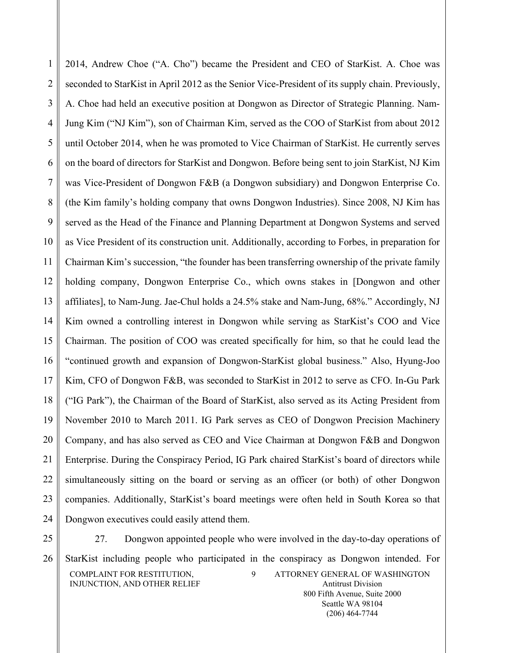1 2 3 4 5 6 7 8 9 10 11 12 13 14 15 16 17 18 19 20 21 22 23 24 2014, Andrew Choe ("A. Cho") became the President and CEO of StarKist. A. Choe was seconded to StarKist in April 2012 as the Senior Vice-President of its supply chain. Previously, A. Choe had held an executive position at Dongwon as Director of Strategic Planning. Nam-Jung Kim ("NJ Kim"), son of Chairman Kim, served as the COO of StarKist from about 2012 until October 2014, when he was promoted to Vice Chairman of StarKist. He currently serves on the board of directors for StarKist and Dongwon. Before being sent to join StarKist, NJ Kim was Vice-President of Dongwon F&B (a Dongwon subsidiary) and Dongwon Enterprise Co. (the Kim family's holding company that owns Dongwon Industries). Since 2008, NJ Kim has served as the Head of the Finance and Planning Department at Dongwon Systems and served as Vice President of its construction unit. Additionally, according to Forbes, in preparation for Chairman Kim's succession, "the founder has been transferring ownership of the private family holding company, Dongwon Enterprise Co., which owns stakes in [Dongwon and other affiliates], to Nam-Jung. Jae-Chul holds a 24.5% stake and Nam-Jung, 68%." Accordingly, NJ Kim owned a controlling interest in Dongwon while serving as StarKist's COO and Vice Chairman. The position of COO was created specifically for him, so that he could lead the "continued growth and expansion of Dongwon-StarKist global business." Also, Hyung-Joo Kim, CFO of Dongwon F&B, was seconded to StarKist in 2012 to serve as CFO. In-Gu Park ("IG Park"), the Chairman of the Board of StarKist, also served as its Acting President from November 2010 to March 2011. IG Park serves as CEO of Dongwon Precision Machinery Company, and has also served as CEO and Vice Chairman at Dongwon F&B and Dongwon Enterprise. During the Conspiracy Period, IG Park chaired StarKist's board of directors while simultaneously sitting on the board or serving as an officer (or both) of other Dongwon companies. Additionally, StarKist's board meetings were often held in South Korea so that Dongwon executives could easily attend them.

25

26

COMPLAINT FOR RESTITUTION, INJUNCTION, AND OTHER RELIEF 9 ATTORNEY GENERAL OF WASHINGTON Antitrust Division 800 Fifth Avenue, Suite 2000 27. Dongwon appointed people who were involved in the day-to-day operations of StarKist including people who participated in the conspiracy as Dongwon intended. For

> Seattle WA 98104 (206) 464-7744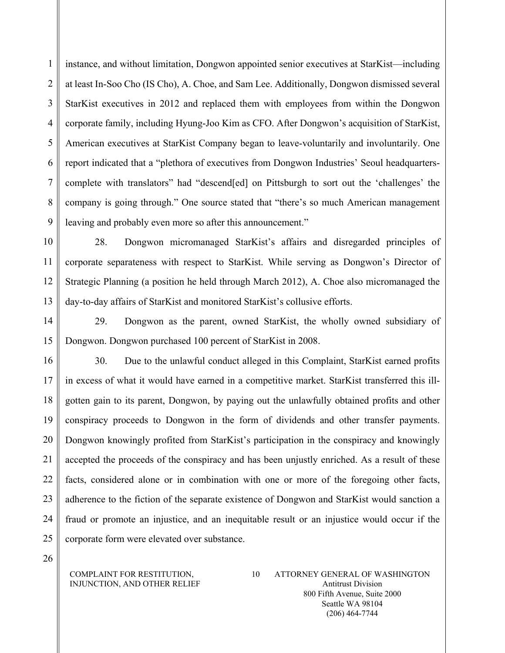1  $\overline{2}$ 3 4 5 6 7 8 9 instance, and without limitation, Dongwon appointed senior executives at StarKist—including at least In-Soo Cho (IS Cho), A. Choe, and Sam Lee. Additionally, Dongwon dismissed several StarKist executives in 2012 and replaced them with employees from within the Dongwon corporate family, including Hyung-Joo Kim as CFO. After Dongwon's acquisition of StarKist, American executives at StarKist Company began to leave-voluntarily and involuntarily. One report indicated that a "plethora of executives from Dongwon Industries' Seoul headquarterscomplete with translators" had "descend[ed] on Pittsburgh to sort out the 'challenges' the company is going through." One source stated that "there's so much American management leaving and probably even more so after this announcement."

10 11 12 13 28. Dongwon micromanaged StarKist's affairs and disregarded principles of corporate separateness with respect to StarKist. While serving as Dongwon's Director of Strategic Planning (a position he held through March 2012), A. Choe also micromanaged the day-to-day affairs of StarKist and monitored StarKist's collusive efforts.

14 15 29. Dongwon as the parent, owned StarKist, the wholly owned subsidiary of Dongwon. Dongwon purchased 100 percent of StarKist in 2008.

16 17 18 19 20 21 22 23 24 25 30. Due to the unlawful conduct alleged in this Complaint, StarKist earned profits in excess of what it would have earned in a competitive market. StarKist transferred this illgotten gain to its parent, Dongwon, by paying out the unlawfully obtained profits and other conspiracy proceeds to Dongwon in the form of dividends and other transfer payments. Dongwon knowingly profited from StarKist's participation in the conspiracy and knowingly accepted the proceeds of the conspiracy and has been unjustly enriched. As a result of these facts, considered alone or in combination with one or more of the foregoing other facts, adherence to the fiction of the separate existence of Dongwon and StarKist would sanction a fraud or promote an injustice, and an inequitable result or an injustice would occur if the corporate form were elevated over substance.

26

### COMPLAINT FOR RESTITUTION, INJUNCTION, AND OTHER RELIEF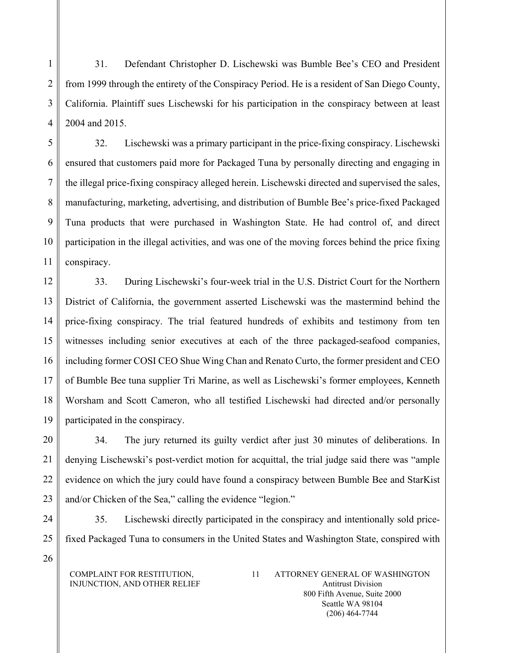31. Defendant Christopher D. Lischewski was Bumble Bee's CEO and President from 1999 through the entirety of the Conspiracy Period. He is a resident of San Diego County, California. Plaintiff sues Lischewski for his participation in the conspiracy between at least 2004 and 2015.

5 6 7 8 9 10 11 32. Lischewski was a primary participant in the price-fixing conspiracy. Lischewski ensured that customers paid more for Packaged Tuna by personally directing and engaging in the illegal price-fixing conspiracy alleged herein. Lischewski directed and supervised the sales, manufacturing, marketing, advertising, and distribution of Bumble Bee's price-fixed Packaged Tuna products that were purchased in Washington State. He had control of, and direct participation in the illegal activities, and was one of the moving forces behind the price fixing conspiracy.

12 13 14 15 16 17 18 19 33. During Lischewski's four-week trial in the U.S. District Court for the Northern District of California, the government asserted Lischewski was the mastermind behind the price-fixing conspiracy. The trial featured hundreds of exhibits and testimony from ten witnesses including senior executives at each of the three packaged-seafood companies, including former COSI CEO Shue Wing Chan and Renato Curto, the former president and CEO of Bumble Bee tuna supplier Tri Marine, as well as Lischewski's former employees, Kenneth Worsham and Scott Cameron, who all testified Lischewski had directed and/or personally participated in the conspiracy.

20 21 22 23 34. The jury returned its guilty verdict after just 30 minutes of deliberations. In denying Lischewski's post-verdict motion for acquittal, the trial judge said there was "ample evidence on which the jury could have found a conspiracy between Bumble Bee and StarKist and/or Chicken of the Sea," calling the evidence "legion."

24 25 35. Lischewski directly participated in the conspiracy and intentionally sold pricefixed Packaged Tuna to consumers in the United States and Washington State, conspired with

COMPLAINT FOR RESTITUTION, INJUNCTION, AND OTHER RELIEF

1

2

3

4

26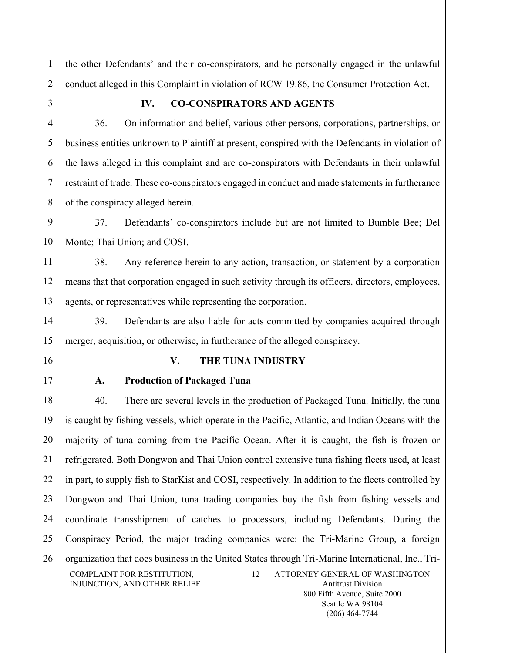the other Defendants' and their co-conspirators, and he personally engaged in the unlawful conduct alleged in this Complaint in violation of RCW 19.86, the Consumer Protection Act.

1

2

3

4

5

6

7

8

# **IV. CO-CONSPIRATORS AND AGENTS**

36. On information and belief, various other persons, corporations, partnerships, or business entities unknown to Plaintiff at present, conspired with the Defendants in violation of the laws alleged in this complaint and are co-conspirators with Defendants in their unlawful restraint of trade. These co-conspirators engaged in conduct and made statements in furtherance of the conspiracy alleged herein.

9 10 37. Defendants' co-conspirators include but are not limited to Bumble Bee; Del Monte; Thai Union; and COSI.

11 12 13 38. Any reference herein to any action, transaction, or statement by a corporation means that that corporation engaged in such activity through its officers, directors, employees, agents, or representatives while representing the corporation.

14 15 39. Defendants are also liable for acts committed by companies acquired through merger, acquisition, or otherwise, in furtherance of the alleged conspiracy.

- 16
- 17

# **V. THE TUNA INDUSTRY**

# **A. Production of Packaged Tuna**

18 19 20 21 22 23 24 25 26 COMPLAINT FOR RESTITUTION, INJUNCTION, AND OTHER RELIEF 12 ATTORNEY GENERAL OF WASHINGTON Antitrust Division 40. There are several levels in the production of Packaged Tuna. Initially, the tuna is caught by fishing vessels, which operate in the Pacific, Atlantic, and Indian Oceans with the majority of tuna coming from the Pacific Ocean. After it is caught, the fish is frozen or refrigerated. Both Dongwon and Thai Union control extensive tuna fishing fleets used, at least in part, to supply fish to StarKist and COSI, respectively. In addition to the fleets controlled by Dongwon and Thai Union, tuna trading companies buy the fish from fishing vessels and coordinate transshipment of catches to processors, including Defendants. During the Conspiracy Period, the major trading companies were: the Tri-Marine Group, a foreign organization that does business in the United States through Tri-Marine International, Inc., Tri-

800 Fifth Avenue, Suite 2000 Seattle WA 98104 (206) 464-7744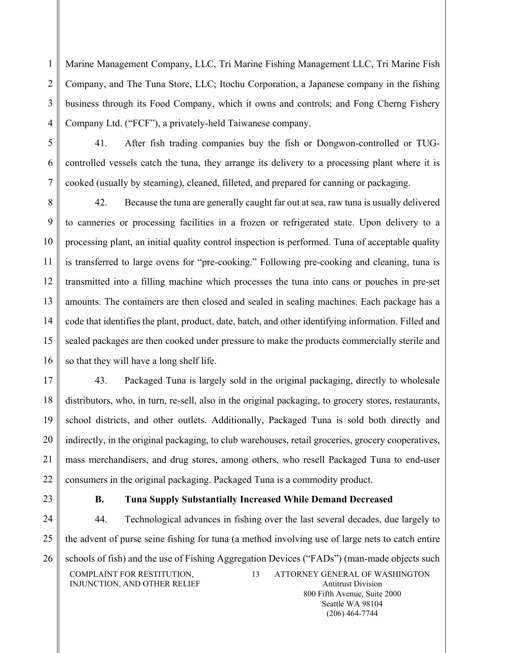Marine Management Company, LLC, Tri Marine Fishing Management LLC, Tri Marine Fish Company, and The Tuna Store, LLC; Itochu Corporation, a Japanese company in the fishing business through its Food Company, which it owns and controls; and Fong Cherng Fishery Company Ltd. ("FCF"), a privately-held Taiwanese company.

5 6

7

1

2

3

4

41. After fish trading companies buy the fish or Dongwon-controlled or TUGcontrolled vessels catch the tuna, they arrange its delivery to a processing plant where it is cooked (usually by steaming), cleaned, filleted, and prepared for canning or packaging.

8 9 10 11 12 13 14 15 16 42. Because the tuna are generally caught far out at sea, raw tuna is usually delivered to canneries or processing facilities in a frozen or refrigerated state. Upon delivery to a processing plant, an initial quality control inspection is performed. Tuna of acceptable quality is transferred to large ovens for "pre-cooking." Following pre-cooking and cleaning, tuna is transmitted into a filling machine which processes the tuna into cans or pouches in pre-set amounts. The containers are then closed and sealed in sealing machines. Each package has a code that identifies the plant, product, date, batch, and other identifying information. Filled and sealed packages are then cooked under pressure to make the products commercially sterile and so that they will have a long shelf life.

17 18 19 20 21 22 43. Packaged Tuna is largely sold in the original packaging, directly to wholesale distributors, who, in turn, re-sell, also in the original packaging, to grocery stores, restaurants, school districts, and other outlets. Additionally, Packaged Tuna is sold both directly and indirectly, in the original packaging, to club warehouses, retail groceries, grocery cooperatives, mass merchandisers, and drug stores, among others, who resell Packaged Tuna to end-user consumers in the original packaging. Packaged Tuna is a commodity product.

23

# **B. Tuna Supply Substantially Increased While Demand Decreased**

24 25 26 COMPLAINT FOR RESTITUTION, INJUNCTION, AND OTHER RELIEF 13 ATTORNEY GENERAL OF WASHINGTON Antitrust Division 800 Fifth Avenue, Suite 2000 44. Technological advances in fishing over the last several decades, due largely to the advent of purse seine fishing for tuna (a method involving use of large nets to catch entire schools of fish) and the use of Fishing Aggregation Devices ("FADs") (man-made objects such

> Seattle WA 98104 (206) 464-7744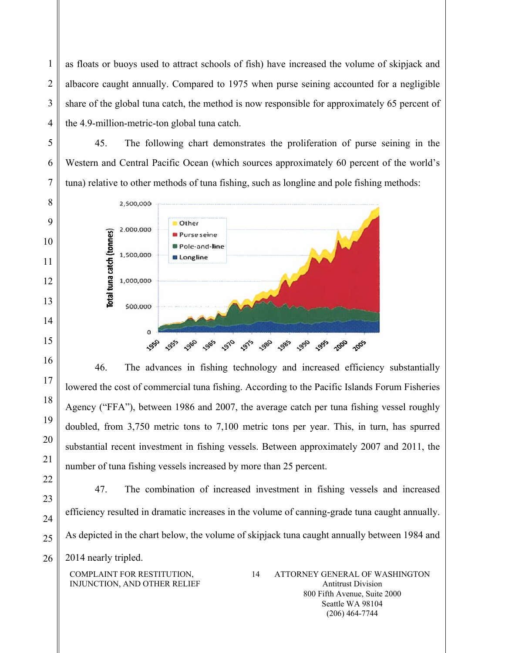as floats or buoys used to attract schools of fish) have increased the volume of skipjack and albacore caught annually. Compared to 1975 when purse seining accounted for a negligible share of the global tuna catch, the method is now responsible for approximately 65 percent of the 4.9-million-metric-ton global tuna catch.

45. The following chart demonstrates the proliferation of purse seining in the Western and Central Pacific Ocean (which sources approximately 60 percent of the world's tuna) relative to other methods of tuna fishing, such as longline and pole fishing methods:



46. The advances in fishing technology and increased efficiency substantially lowered the cost of commercial tuna fishing. According to the Pacific Islands Forum Fisheries Agency ("FFA"), between 1986 and 2007, the average catch per tuna fishing vessel roughly doubled, from 3,750 metric tons to 7,100 metric tons per year. This, in turn, has spurred substantial recent investment in fishing vessels. Between approximately 2007 and 2011, the number of tuna fishing vessels increased by more than 25 percent.

22 23

24

25

1

2

3

4

5

6

7

8

9

10

11

12

13

14

15

16

17

18

19

20

21

47. The combination of increased investment in fishing vessels and increased efficiency resulted in dramatic increases in the volume of canning-grade tuna caught annually. As depicted in the chart below, the volume of skipjack tuna caught annually between 1984 and

26 2014 nearly tripled.

> COMPLAINT FOR RESTITUTION, INJUNCTION, AND OTHER RELIEF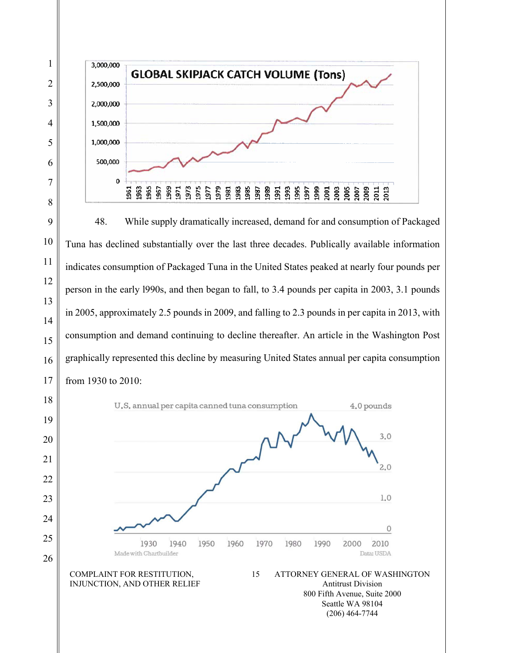

48. While supply dramatically increased, demand for and consumption of Packaged Tuna has declined substantially over the last three decades. Publically available information indicates consumption of Packaged Tuna in the United States peaked at nearly four pounds per person in the early l990s, and then began to fall, to 3.4 pounds per capita in 2003, 3.1 pounds in 2005, approximately 2.5 pounds in 2009, and falling to 2.3 pounds in per capita in 2013, with consumption and demand continuing to decline thereafter. An article in the Washington Post graphically represented this decline by measuring United States annual per capita consumption from 1930 to 2010:

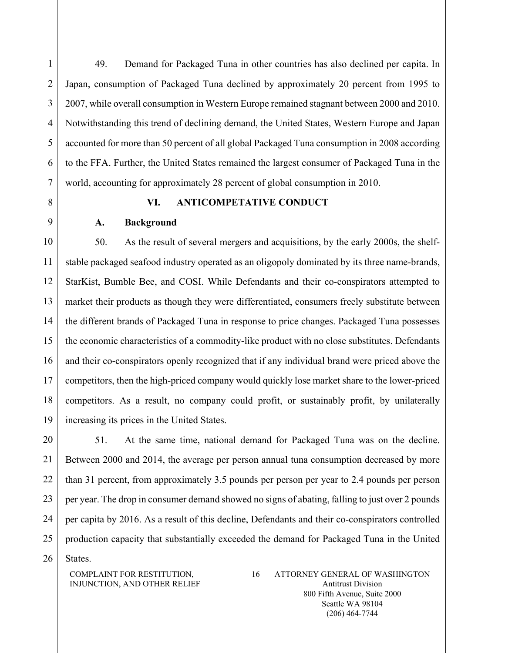1 2 3 4 5 6 7 8 9 49. Demand for Packaged Tuna in other countries has also declined per capita. In Japan, consumption of Packaged Tuna declined by approximately 20 percent from 1995 to 2007, while overall consumption in Western Europe remained stagnant between 2000 and 2010. Notwithstanding this trend of declining demand, the United States, Western Europe and Japan accounted for more than 50 percent of all global Packaged Tuna consumption in 2008 according to the FFA. Further, the United States remained the largest consumer of Packaged Tuna in the world, accounting for approximately 28 percent of global consumption in 2010. **VI. ANTICOMPETATIVE CONDUCT A. Background**

10 11 12 13 14 15 16 17 18 19 50. As the result of several mergers and acquisitions, by the early 2000s, the shelfstable packaged seafood industry operated as an oligopoly dominated by its three name-brands, StarKist, Bumble Bee, and COSI. While Defendants and their co-conspirators attempted to market their products as though they were differentiated, consumers freely substitute between the different brands of Packaged Tuna in response to price changes. Packaged Tuna possesses the economic characteristics of a commodity-like product with no close substitutes. Defendants and their co-conspirators openly recognized that if any individual brand were priced above the competitors, then the high-priced company would quickly lose market share to the lower-priced competitors. As a result, no company could profit, or sustainably profit, by unilaterally increasing its prices in the United States.

20 21 22 23 24 25 51. At the same time, national demand for Packaged Tuna was on the decline. Between 2000 and 2014, the average per person annual tuna consumption decreased by more than 31 percent, from approximately 3.5 pounds per person per year to 2.4 pounds per person per year. The drop in consumer demand showed no signs of abating, falling to just over 2 pounds per capita by 2016. As a result of this decline, Defendants and their co-conspirators controlled production capacity that substantially exceeded the demand for Packaged Tuna in the United

26

States.

COMPLAINT FOR RESTITUTION, INJUNCTION, AND OTHER RELIEF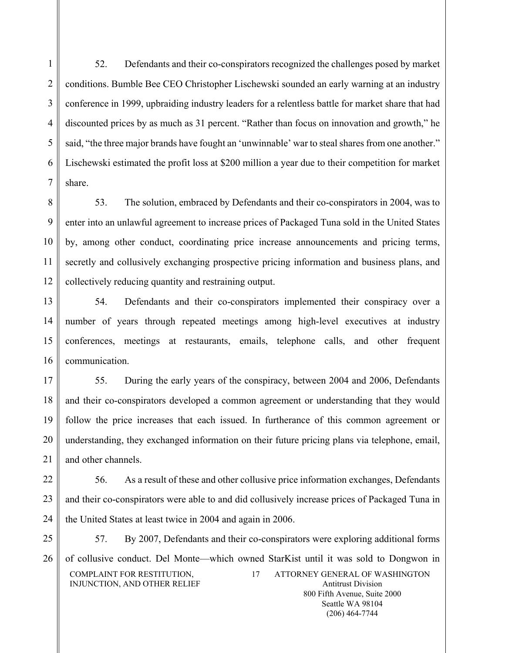$\overline{2}$ 3 4 5 6 7 52. Defendants and their co-conspirators recognized the challenges posed by market conditions. Bumble Bee CEO Christopher Lischewski sounded an early warning at an industry conference in 1999, upbraiding industry leaders for a relentless battle for market share that had discounted prices by as much as 31 percent. "Rather than focus on innovation and growth," he said, "the three major brands have fought an 'unwinnable' war to steal shares from one another." Lischewski estimated the profit loss at \$200 million a year due to their competition for market share.

8 9 10 11 12 53. The solution, embraced by Defendants and their co-conspirators in 2004, was to enter into an unlawful agreement to increase prices of Packaged Tuna sold in the United States by, among other conduct, coordinating price increase announcements and pricing terms, secretly and collusively exchanging prospective pricing information and business plans, and collectively reducing quantity and restraining output.

13 14 15 16 54. Defendants and their co-conspirators implemented their conspiracy over a number of years through repeated meetings among high-level executives at industry conferences, meetings at restaurants, emails, telephone calls, and other frequent communication.

17 18 19 20 21 55. During the early years of the conspiracy, between 2004 and 2006, Defendants and their co-conspirators developed a common agreement or understanding that they would follow the price increases that each issued. In furtherance of this common agreement or understanding, they exchanged information on their future pricing plans via telephone, email, and other channels.

22 23 24 56. As a result of these and other collusive price information exchanges, Defendants and their co-conspirators were able to and did collusively increase prices of Packaged Tuna in the United States at least twice in 2004 and again in 2006.

25 26

1

COMPLAINT FOR RESTITUTION, INJUNCTION, AND OTHER RELIEF 17 ATTORNEY GENERAL OF WASHINGTON Antitrust Division 57. By 2007, Defendants and their co-conspirators were exploring additional forms of collusive conduct. Del Monte—which owned StarKist until it was sold to Dongwon in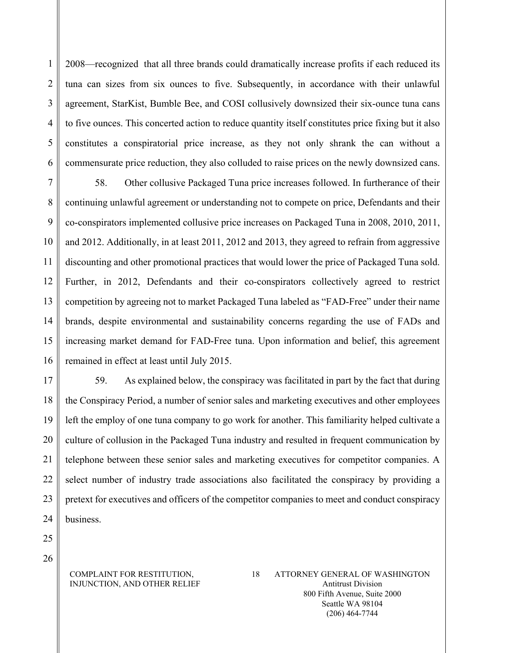2008—recognized that all three brands could dramatically increase profits if each reduced its tuna can sizes from six ounces to five. Subsequently, in accordance with their unlawful agreement, StarKist, Bumble Bee, and COSI collusively downsized their six-ounce tuna cans to five ounces. This concerted action to reduce quantity itself constitutes price fixing but it also constitutes a conspiratorial price increase, as they not only shrank the can without a commensurate price reduction, they also colluded to raise prices on the newly downsized cans.

7 8 9 10 11 12 13 14 15 16 58. Other collusive Packaged Tuna price increases followed. In furtherance of their continuing unlawful agreement or understanding not to compete on price, Defendants and their co-conspirators implemented collusive price increases on Packaged Tuna in 2008, 2010, 2011, and 2012. Additionally, in at least 2011, 2012 and 2013, they agreed to refrain from aggressive discounting and other promotional practices that would lower the price of Packaged Tuna sold. Further, in 2012, Defendants and their co-conspirators collectively agreed to restrict competition by agreeing not to market Packaged Tuna labeled as "FAD-Free" under their name brands, despite environmental and sustainability concerns regarding the use of FADs and increasing market demand for FAD-Free tuna. Upon information and belief, this agreement remained in effect at least until July 2015.

17 18 19 20 21 22 23 24 59. As explained below, the conspiracy was facilitated in part by the fact that during the Conspiracy Period, a number of senior sales and marketing executives and other employees left the employ of one tuna company to go work for another. This familiarity helped cultivate a culture of collusion in the Packaged Tuna industry and resulted in frequent communication by telephone between these senior sales and marketing executives for competitor companies. A select number of industry trade associations also facilitated the conspiracy by providing a pretext for executives and officers of the competitor companies to meet and conduct conspiracy business.

25 26

1

 $\overline{2}$ 

3

4

5

6

### COMPLAINT FOR RESTITUTION, INJUNCTION, AND OTHER RELIEF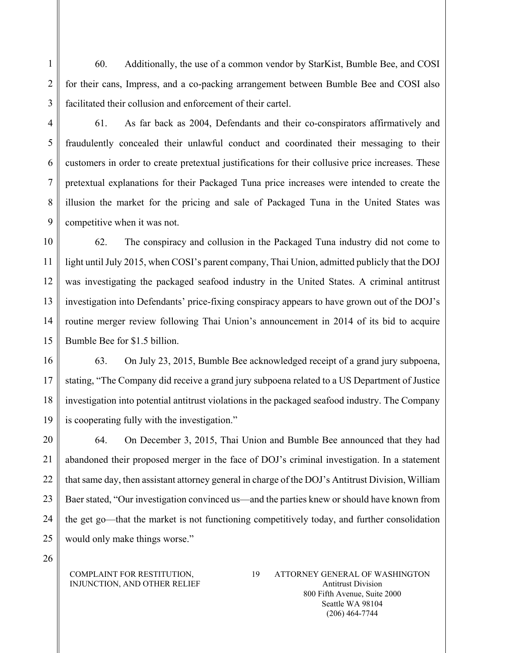60. Additionally, the use of a common vendor by StarKist, Bumble Bee, and COSI for their cans, Impress, and a co-packing arrangement between Bumble Bee and COSI also facilitated their collusion and enforcement of their cartel.

1

2

3

4

5

6

7

8

9

61. As far back as 2004, Defendants and their co-conspirators affirmatively and fraudulently concealed their unlawful conduct and coordinated their messaging to their customers in order to create pretextual justifications for their collusive price increases. These pretextual explanations for their Packaged Tuna price increases were intended to create the illusion the market for the pricing and sale of Packaged Tuna in the United States was competitive when it was not.

10 11 12 13 14 15 62. The conspiracy and collusion in the Packaged Tuna industry did not come to light until July 2015, when COSI's parent company, Thai Union, admitted publicly that the DOJ was investigating the packaged seafood industry in the United States. A criminal antitrust investigation into Defendants' price-fixing conspiracy appears to have grown out of the DOJ's routine merger review following Thai Union's announcement in 2014 of its bid to acquire Bumble Bee for \$1.5 billion.

16 17 18 19 63. On July 23, 2015, Bumble Bee acknowledged receipt of a grand jury subpoena, stating, "The Company did receive a grand jury subpoena related to a US Department of Justice investigation into potential antitrust violations in the packaged seafood industry. The Company is cooperating fully with the investigation."

20 21 22 23 24 25 64. On December 3, 2015, Thai Union and Bumble Bee announced that they had abandoned their proposed merger in the face of DOJ's criminal investigation. In a statement that same day, then assistant attorney general in charge of the DOJ's Antitrust Division, William Baer stated, "Our investigation convinced us—and the parties knew or should have known from the get go—that the market is not functioning competitively today, and further consolidation would only make things worse."

26

### COMPLAINT FOR RESTITUTION, INJUNCTION, AND OTHER RELIEF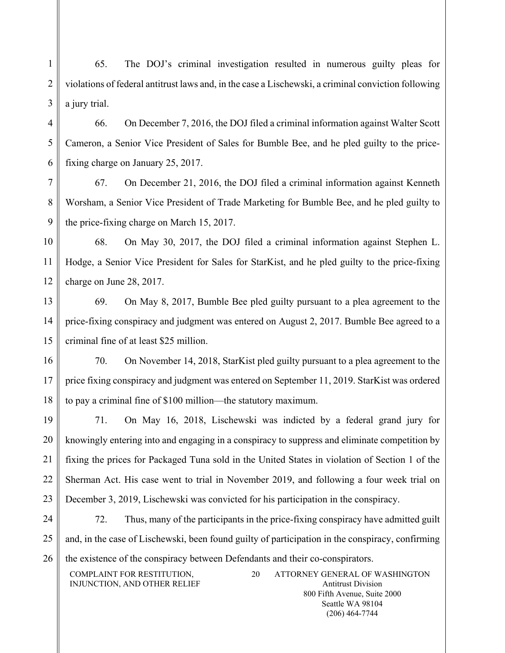1 2 3 65. The DOJ's criminal investigation resulted in numerous guilty pleas for violations of federal antitrust laws and, in the case a Lischewski, a criminal conviction following a jury trial.

4 5 6 66. On December 7, 2016, the DOJ filed a criminal information against Walter Scott Cameron, a Senior Vice President of Sales for Bumble Bee, and he pled guilty to the pricefixing charge on January 25, 2017.

7 8 9 67. On December 21, 2016, the DOJ filed a criminal information against Kenneth Worsham, a Senior Vice President of Trade Marketing for Bumble Bee, and he pled guilty to the price-fixing charge on March 15, 2017.

10 11 12 68. On May 30, 2017, the DOJ filed a criminal information against Stephen L. Hodge, a Senior Vice President for Sales for StarKist, and he pled guilty to the price-fixing charge on June 28, 2017.

13 14 15 69. On May 8, 2017, Bumble Bee pled guilty pursuant to a plea agreement to the price-fixing conspiracy and judgment was entered on August 2, 2017. Bumble Bee agreed to a criminal fine of at least \$25 million.

16 17 18 70. On November 14, 2018, StarKist pled guilty pursuant to a plea agreement to the price fixing conspiracy and judgment was entered on September 11, 2019. StarKist was ordered to pay a criminal fine of \$100 million—the statutory maximum.

19 20 21 22 23 71. On May 16, 2018, Lischewski was indicted by a federal grand jury for knowingly entering into and engaging in a conspiracy to suppress and eliminate competition by fixing the prices for Packaged Tuna sold in the United States in violation of Section 1 of the Sherman Act. His case went to trial in November 2019, and following a four week trial on December 3, 2019, Lischewski was convicted for his participation in the conspiracy.

24 25 26 72. Thus, many of the participants in the price-fixing conspiracy have admitted guilt and, in the case of Lischewski, been found guilty of participation in the conspiracy, confirming the existence of the conspiracy between Defendants and their co-conspirators.

COMPLAINT FOR RESTITUTION, INJUNCTION, AND OTHER RELIEF 20 ATTORNEY GENERAL OF WASHINGTON

Antitrust Division 800 Fifth Avenue, Suite 2000 Seattle WA 98104 (206) 464-7744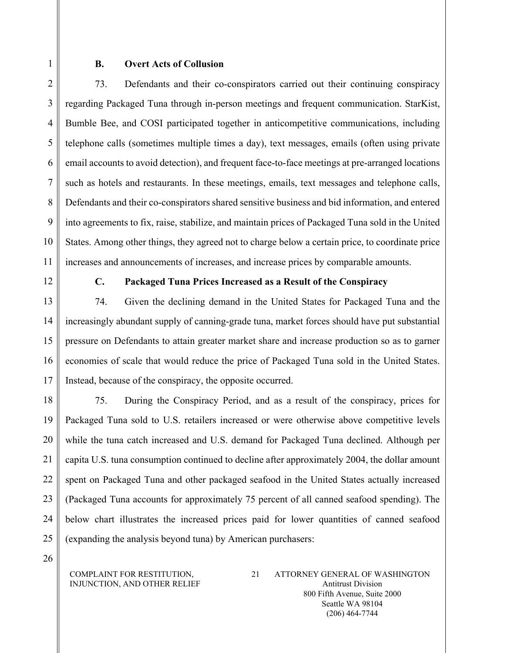1 2 3

# **B. Overt Acts of Collusion**

4 5 6 7 8 9 10 11 73. Defendants and their co-conspirators carried out their continuing conspiracy regarding Packaged Tuna through in-person meetings and frequent communication. StarKist, Bumble Bee, and COSI participated together in anticompetitive communications, including telephone calls (sometimes multiple times a day), text messages, emails (often using private email accounts to avoid detection), and frequent face-to-face meetings at pre-arranged locations such as hotels and restaurants. In these meetings, emails, text messages and telephone calls, Defendants and their co-conspirators shared sensitive business and bid information, and entered into agreements to fix, raise, stabilize, and maintain prices of Packaged Tuna sold in the United States. Among other things, they agreed not to charge below a certain price, to coordinate price increases and announcements of increases, and increase prices by comparable amounts.

12

# **C. Packaged Tuna Prices Increased as a Result of the Conspiracy**

13 14 15 16 17 74. Given the declining demand in the United States for Packaged Tuna and the increasingly abundant supply of canning-grade tuna, market forces should have put substantial pressure on Defendants to attain greater market share and increase production so as to garner economies of scale that would reduce the price of Packaged Tuna sold in the United States. Instead, because of the conspiracy, the opposite occurred.

18 19 20 21 22 23 24 25 75. During the Conspiracy Period, and as a result of the conspiracy, prices for Packaged Tuna sold to U.S. retailers increased or were otherwise above competitive levels while the tuna catch increased and U.S. demand for Packaged Tuna declined. Although per capita U.S. tuna consumption continued to decline after approximately 2004, the dollar amount spent on Packaged Tuna and other packaged seafood in the United States actually increased (Packaged Tuna accounts for approximately 75 percent of all canned seafood spending). The below chart illustrates the increased prices paid for lower quantities of canned seafood (expanding the analysis beyond tuna) by American purchasers:

26

#### COMPLAINT FOR RESTITUTION, INJUNCTION, AND OTHER RELIEF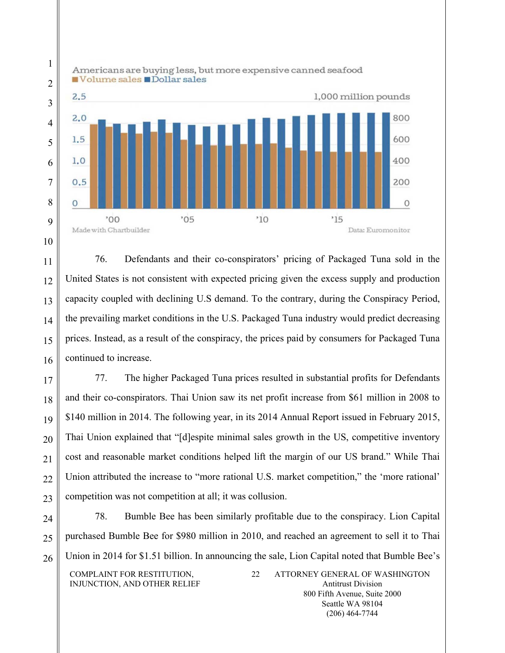

76. Defendants and their co-conspirators' pricing of Packaged Tuna sold in the United States is not consistent with expected pricing given the excess supply and production capacity coupled with declining U.S demand. To the contrary, during the Conspiracy Period, the prevailing market conditions in the U.S. Packaged Tuna industry would predict decreasing prices. Instead, as a result of the conspiracy, the prices paid by consumers for Packaged Tuna continued to increase.

77. The higher Packaged Tuna prices resulted in substantial profits for Defendants and their co-conspirators. Thai Union saw its net profit increase from \$61 million in 2008 to \$140 million in 2014. The following year, in its 2014 Annual Report issued in February 2015, Thai Union explained that "[d]espite minimal sales growth in the US, competitive inventory cost and reasonable market conditions helped lift the margin of our US brand." While Thai Union attributed the increase to "more rational U.S. market competition," the 'more rational' competition was not competition at all; it was collusion.

24 25 26 78. Bumble Bee has been similarly profitable due to the conspiracy. Lion Capital purchased Bumble Bee for \$980 million in 2010, and reached an agreement to sell it to Thai Union in 2014 for \$1.51 billion. In announcing the sale, Lion Capital noted that Bumble Bee's

COMPLAINT FOR RESTITUTION, INJUNCTION, AND OTHER RELIEF 22 ATTORNEY GENERAL OF WASHINGTON Antitrust Division 800 Fifth Avenue, Suite 2000 Seattle WA 98104

(206) 464-7744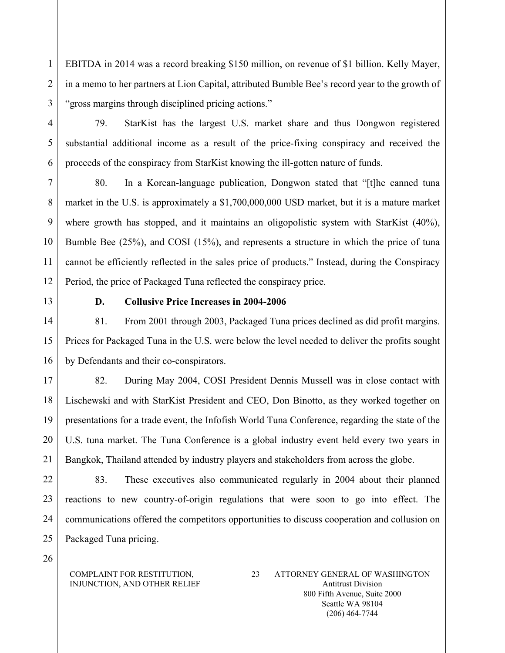EBITDA in 2014 was a record breaking \$150 million, on revenue of \$1 billion. Kelly Mayer, in a memo to her partners at Lion Capital, attributed Bumble Bee's record year to the growth of "gross margins through disciplined pricing actions."

79. StarKist has the largest U.S. market share and thus Dongwon registered substantial additional income as a result of the price-fixing conspiracy and received the proceeds of the conspiracy from StarKist knowing the ill-gotten nature of funds.

7 8 9 10 11 12 80. In a Korean-language publication, Dongwon stated that "[t]he canned tuna market in the U.S. is approximately a \$1,700,000,000 USD market, but it is a mature market where growth has stopped, and it maintains an oligopolistic system with StarKist (40%), Bumble Bee (25%), and COSI (15%), and represents a structure in which the price of tuna cannot be efficiently reflected in the sales price of products." Instead, during the Conspiracy Period, the price of Packaged Tuna reflected the conspiracy price.

13

1

2

3

4

5

6

# **D. Collusive Price Increases in 2004-2006**

14 15 16 81. From 2001 through 2003, Packaged Tuna prices declined as did profit margins. Prices for Packaged Tuna in the U.S. were below the level needed to deliver the profits sought by Defendants and their co-conspirators.

17 18 19 20 21 82. During May 2004, COSI President Dennis Mussell was in close contact with Lischewski and with StarKist President and CEO, Don Binotto, as they worked together on presentations for a trade event, the Infofish World Tuna Conference, regarding the state of the U.S. tuna market. The Tuna Conference is a global industry event held every two years in Bangkok, Thailand attended by industry players and stakeholders from across the globe.

22 23 24 25 83. These executives also communicated regularly in 2004 about their planned reactions to new country-of-origin regulations that were soon to go into effect. The communications offered the competitors opportunities to discuss cooperation and collusion on Packaged Tuna pricing.

26

### COMPLAINT FOR RESTITUTION, INJUNCTION, AND OTHER RELIEF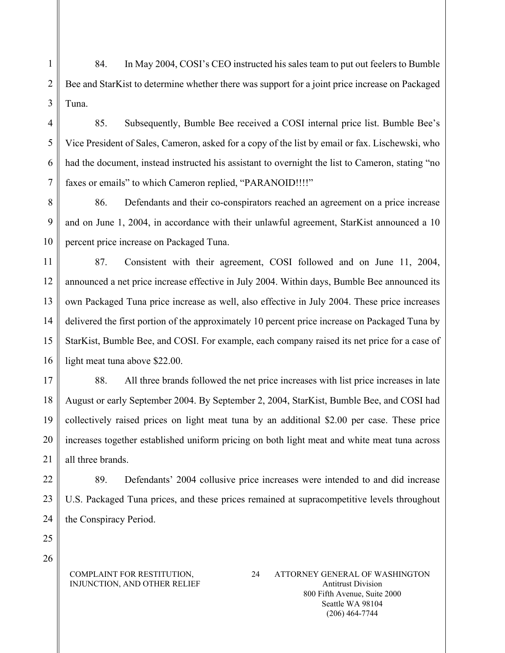1 2 3 84. In May 2004, COSI's CEO instructed his sales team to put out feelers to Bumble Bee and StarKist to determine whether there was support for a joint price increase on Packaged Tuna.

85. Subsequently, Bumble Bee received a COSI internal price list. Bumble Bee's Vice President of Sales, Cameron, asked for a copy of the list by email or fax. Lischewski, who had the document, instead instructed his assistant to overnight the list to Cameron, stating "no faxes or emails" to which Cameron replied, "PARANOID!!!!"

8 9 10 86. Defendants and their co-conspirators reached an agreement on a price increase and on June 1, 2004, in accordance with their unlawful agreement, StarKist announced a 10 percent price increase on Packaged Tuna.

11 12 13 14 15 16 87. Consistent with their agreement, COSI followed and on June 11, 2004, announced a net price increase effective in July 2004. Within days, Bumble Bee announced its own Packaged Tuna price increase as well, also effective in July 2004. These price increases delivered the first portion of the approximately 10 percent price increase on Packaged Tuna by StarKist, Bumble Bee, and COSI. For example, each company raised its net price for a case of light meat tuna above \$22.00.

17 18 19 20 21 88. All three brands followed the net price increases with list price increases in late August or early September 2004. By September 2, 2004, StarKist, Bumble Bee, and COSI had collectively raised prices on light meat tuna by an additional \$2.00 per case. These price increases together established uniform pricing on both light meat and white meat tuna across all three brands.

22 23 24 89. Defendants' 2004 collusive price increases were intended to and did increase U.S. Packaged Tuna prices, and these prices remained at supracompetitive levels throughout the Conspiracy Period.

26

25

4

5

6

7

### COMPLAINT FOR RESTITUTION, INJUNCTION, AND OTHER RELIEF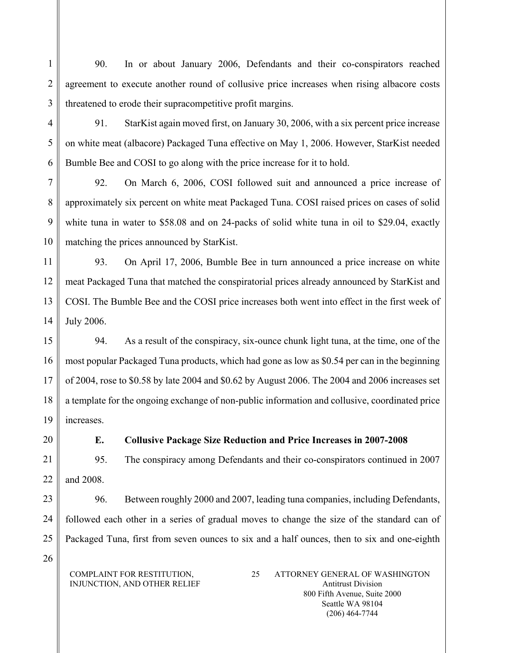90. In or about January 2006, Defendants and their co-conspirators reached agreement to execute another round of collusive price increases when rising albacore costs threatened to erode their supracompetitive profit margins.

91. StarKist again moved first, on January 30, 2006, with a six percent price increase on white meat (albacore) Packaged Tuna effective on May 1, 2006. However, StarKist needed Bumble Bee and COSI to go along with the price increase for it to hold.

7 8 9 10 92. On March 6, 2006, COSI followed suit and announced a price increase of approximately six percent on white meat Packaged Tuna. COSI raised prices on cases of solid white tuna in water to \$58.08 and on 24-packs of solid white tuna in oil to \$29.04, exactly matching the prices announced by StarKist.

11 12 13 14 93. On April 17, 2006, Bumble Bee in turn announced a price increase on white meat Packaged Tuna that matched the conspiratorial prices already announced by StarKist and COSI. The Bumble Bee and the COSI price increases both went into effect in the first week of July 2006.

15 16 17 18 19 94. As a result of the conspiracy, six-ounce chunk light tuna, at the time, one of the most popular Packaged Tuna products, which had gone as low as \$0.54 per can in the beginning of 2004, rose to \$0.58 by late 2004 and \$0.62 by August 2006. The 2004 and 2006 increases set a template for the ongoing exchange of non-public information and collusive, coordinated price increases.

20

1

 $\overline{2}$ 

3

4

5

6

# **E. Collusive Package Size Reduction and Price Increases in 2007-2008**

21 22 95. The conspiracy among Defendants and their co-conspirators continued in 2007 and 2008.

23 24 25 96. Between roughly 2000 and 2007, leading tuna companies, including Defendants, followed each other in a series of gradual moves to change the size of the standard can of Packaged Tuna, first from seven ounces to six and a half ounces, then to six and one-eighth

26

COMPLAINT FOR RESTITUTION, INJUNCTION, AND OTHER RELIEF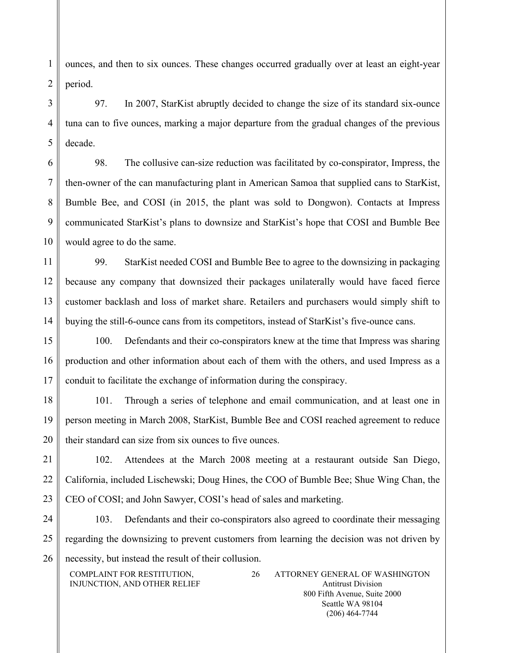ounces, and then to six ounces. These changes occurred gradually over at least an eight-year period.

97. In 2007, StarKist abruptly decided to change the size of its standard six-ounce tuna can to five ounces, marking a major departure from the gradual changes of the previous decade.

98. The collusive can-size reduction was facilitated by co-conspirator, Impress, the then-owner of the can manufacturing plant in American Samoa that supplied cans to StarKist, Bumble Bee, and COSI (in 2015, the plant was sold to Dongwon). Contacts at Impress communicated StarKist's plans to downsize and StarKist's hope that COSI and Bumble Bee would agree to do the same.

99. StarKist needed COSI and Bumble Bee to agree to the downsizing in packaging because any company that downsized their packages unilaterally would have faced fierce customer backlash and loss of market share. Retailers and purchasers would simply shift to buying the still-6-ounce cans from its competitors, instead of StarKist's five-ounce cans.

100. Defendants and their co-conspirators knew at the time that Impress was sharing production and other information about each of them with the others, and used Impress as a conduit to facilitate the exchange of information during the conspiracy.

19 20 101. Through a series of telephone and email communication, and at least one in person meeting in March 2008, StarKist, Bumble Bee and COSI reached agreement to reduce their standard can size from six ounces to five ounces.

21 22 23 102. Attendees at the March 2008 meeting at a restaurant outside San Diego, California, included Lischewski; Doug Hines, the COO of Bumble Bee; Shue Wing Chan, the CEO of COSI; and John Sawyer, COSI's head of sales and marketing.

24 25 26 103. Defendants and their co-conspirators also agreed to coordinate their messaging regarding the downsizing to prevent customers from learning the decision was not driven by necessity, but instead the result of their collusion.

COMPLAINT FOR RESTITUTION, INJUNCTION, AND OTHER RELIEF 26 ATTORNEY GENERAL OF WASHINGTON Antitrust Division 800 Fifth Avenue, Suite 2000 Seattle WA 98104 (206) 464-7744

1

2

3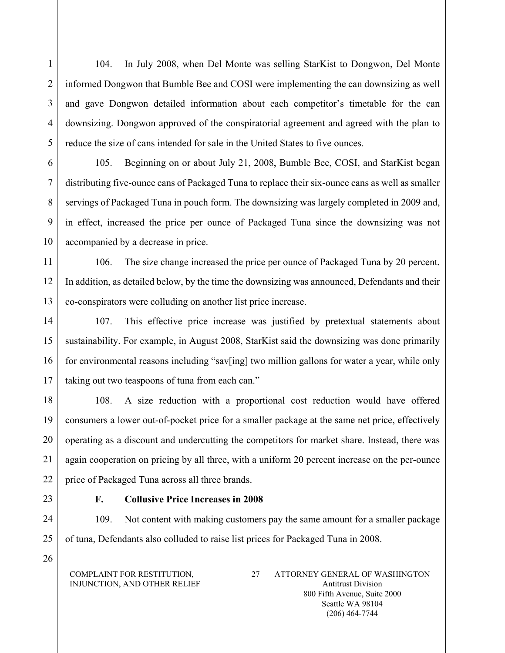104. In July 2008, when Del Monte was selling StarKist to Dongwon, Del Monte informed Dongwon that Bumble Bee and COSI were implementing the can downsizing as well and gave Dongwon detailed information about each competitor's timetable for the can downsizing. Dongwon approved of the conspiratorial agreement and agreed with the plan to reduce the size of cans intended for sale in the United States to five ounces.

6 7 8 9 10 105. Beginning on or about July 21, 2008, Bumble Bee, COSI, and StarKist began distributing five-ounce cans of Packaged Tuna to replace their six-ounce cans as well as smaller servings of Packaged Tuna in pouch form. The downsizing was largely completed in 2009 and, in effect, increased the price per ounce of Packaged Tuna since the downsizing was not accompanied by a decrease in price.

11 12 13 106. The size change increased the price per ounce of Packaged Tuna by 20 percent. In addition, as detailed below, by the time the downsizing was announced, Defendants and their co-conspirators were colluding on another list price increase.

14 15 16 17 107. This effective price increase was justified by pretextual statements about sustainability. For example, in August 2008, StarKist said the downsizing was done primarily for environmental reasons including "sav[ing] two million gallons for water a year, while only taking out two teaspoons of tuna from each can."

18 19 20 21 22 108. A size reduction with a proportional cost reduction would have offered consumers a lower out-of-pocket price for a smaller package at the same net price, effectively operating as a discount and undercutting the competitors for market share. Instead, there was again cooperation on pricing by all three, with a uniform 20 percent increase on the per-ounce price of Packaged Tuna across all three brands.

23

1

2

3

4

5

# **F. Collusive Price Increases in 2008**

24 25 109. Not content with making customers pay the same amount for a smaller package of tuna, Defendants also colluded to raise list prices for Packaged Tuna in 2008.

26

COMPLAINT FOR RESTITUTION, INJUNCTION, AND OTHER RELIEF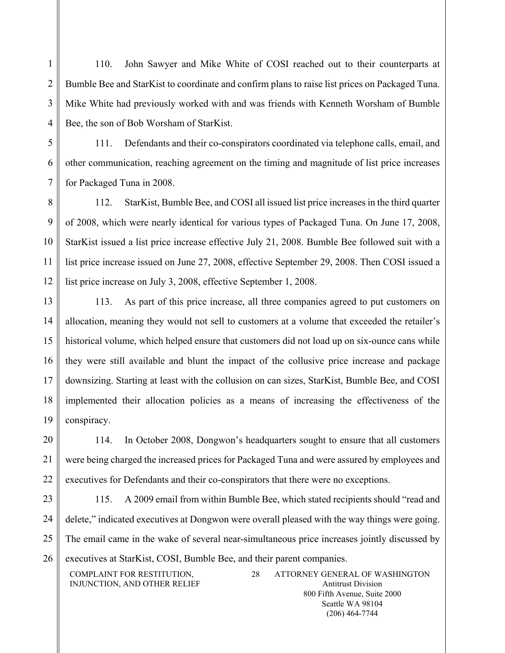110. John Sawyer and Mike White of COSI reached out to their counterparts at Bumble Bee and StarKist to coordinate and confirm plans to raise list prices on Packaged Tuna. Mike White had previously worked with and was friends with Kenneth Worsham of Bumble Bee, the son of Bob Worsham of StarKist.

111. Defendants and their co-conspirators coordinated via telephone calls, email, and other communication, reaching agreement on the timing and magnitude of list price increases for Packaged Tuna in 2008.

8 9 10 11 12 112. StarKist, Bumble Bee, and COSI all issued list price increases in the third quarter of 2008, which were nearly identical for various types of Packaged Tuna. On June 17, 2008, StarKist issued a list price increase effective July 21, 2008. Bumble Bee followed suit with a list price increase issued on June 27, 2008, effective September 29, 2008. Then COSI issued a list price increase on July 3, 2008, effective September 1, 2008.

13 14 15 16 17 18 19 113. As part of this price increase, all three companies agreed to put customers on allocation, meaning they would not sell to customers at a volume that exceeded the retailer's historical volume, which helped ensure that customers did not load up on six-ounce cans while they were still available and blunt the impact of the collusive price increase and package downsizing. Starting at least with the collusion on can sizes, StarKist, Bumble Bee, and COSI implemented their allocation policies as a means of increasing the effectiveness of the conspiracy.

20 21 22 114. In October 2008, Dongwon's headquarters sought to ensure that all customers were being charged the increased prices for Packaged Tuna and were assured by employees and executives for Defendants and their co-conspirators that there were no exceptions.

23 24 25 26 115. A 2009 email from within Bumble Bee, which stated recipients should "read and delete," indicated executives at Dongwon were overall pleased with the way things were going. The email came in the wake of several near-simultaneous price increases jointly discussed by executives at StarKist, COSI, Bumble Bee, and their parent companies.

COMPLAINT FOR RESTITUTION, INJUNCTION, AND OTHER RELIEF

1

2

3

4

5

6

7

28 ATTORNEY GENERAL OF WASHINGTON Antitrust Division 800 Fifth Avenue, Suite 2000 Seattle WA 98104

(206) 464-7744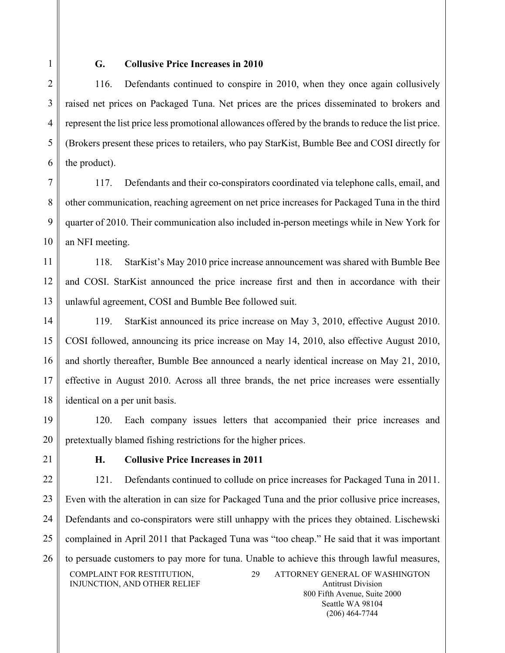1

2

3

4

5

6

### **G. Collusive Price Increases in 2010**

116. Defendants continued to conspire in 2010, when they once again collusively raised net prices on Packaged Tuna. Net prices are the prices disseminated to brokers and represent the list price less promotional allowances offered by the brands to reduce the list price. (Brokers present these prices to retailers, who pay StarKist, Bumble Bee and COSI directly for the product).

7 8 9 10 117. Defendants and their co-conspirators coordinated via telephone calls, email, and other communication, reaching agreement on net price increases for Packaged Tuna in the third quarter of 2010. Their communication also included in-person meetings while in New York for an NFI meeting.

11 12 13 118. StarKist's May 2010 price increase announcement was shared with Bumble Bee and COSI. StarKist announced the price increase first and then in accordance with their unlawful agreement, COSI and Bumble Bee followed suit.

14 15 16 17 18 119. StarKist announced its price increase on May 3, 2010, effective August 2010. COSI followed, announcing its price increase on May 14, 2010, also effective August 2010, and shortly thereafter, Bumble Bee announced a nearly identical increase on May 21, 2010, effective in August 2010. Across all three brands, the net price increases were essentially identical on a per unit basis.

19 20 120. Each company issues letters that accompanied their price increases and pretextually blamed fishing restrictions for the higher prices.

21

# **H. Collusive Price Increases in 2011**

22 23 24 25 26 COMPLAINT FOR RESTITUTION, INJUNCTION, AND OTHER RELIEF 29 ATTORNEY GENERAL OF WASHINGTON Antitrust Division 121. Defendants continued to collude on price increases for Packaged Tuna in 2011. Even with the alteration in can size for Packaged Tuna and the prior collusive price increases, Defendants and co-conspirators were still unhappy with the prices they obtained. Lischewski complained in April 2011 that Packaged Tuna was "too cheap." He said that it was important to persuade customers to pay more for tuna. Unable to achieve this through lawful measures,

800 Fifth Avenue, Suite 2000 Seattle WA 98104 (206) 464-7744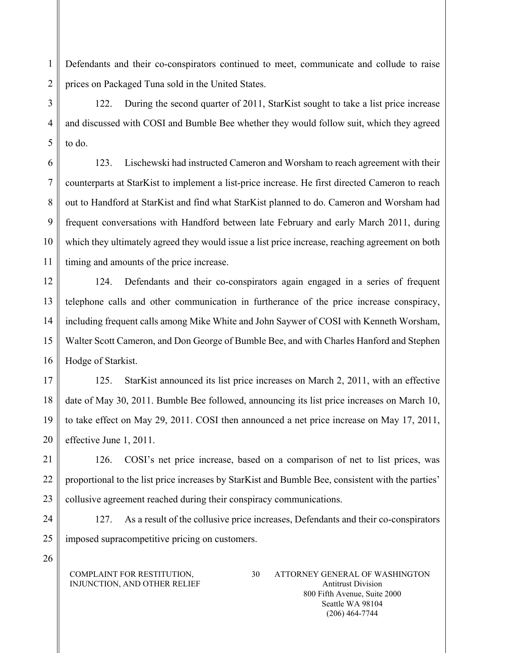Defendants and their co-conspirators continued to meet, communicate and collude to raise prices on Packaged Tuna sold in the United States.

3 4 5 122. During the second quarter of 2011, StarKist sought to take a list price increase and discussed with COSI and Bumble Bee whether they would follow suit, which they agreed to do.

6 7 8 9 10 11 123. Lischewski had instructed Cameron and Worsham to reach agreement with their counterparts at StarKist to implement a list-price increase. He first directed Cameron to reach out to Handford at StarKist and find what StarKist planned to do. Cameron and Worsham had frequent conversations with Handford between late February and early March 2011, during which they ultimately agreed they would issue a list price increase, reaching agreement on both timing and amounts of the price increase.

12 13 14 15 16 124. Defendants and their co-conspirators again engaged in a series of frequent telephone calls and other communication in furtherance of the price increase conspiracy, including frequent calls among Mike White and John Saywer of COSI with Kenneth Worsham, Walter Scott Cameron, and Don George of Bumble Bee, and with Charles Hanford and Stephen Hodge of Starkist.

17 18 19 20 125. StarKist announced its list price increases on March 2, 2011, with an effective date of May 30, 2011. Bumble Bee followed, announcing its list price increases on March 10, to take effect on May 29, 2011. COSI then announced a net price increase on May 17, 2011, effective June 1, 2011.

21 22 23 126. COSI's net price increase, based on a comparison of net to list prices, was proportional to the list price increases by StarKist and Bumble Bee, consistent with the parties' collusive agreement reached during their conspiracy communications.

24 25 127. As a result of the collusive price increases, Defendants and their co-conspirators imposed supracompetitive pricing on customers.

COMPLAINT FOR RESTITUTION, INJUNCTION, AND OTHER RELIEF

26

1

2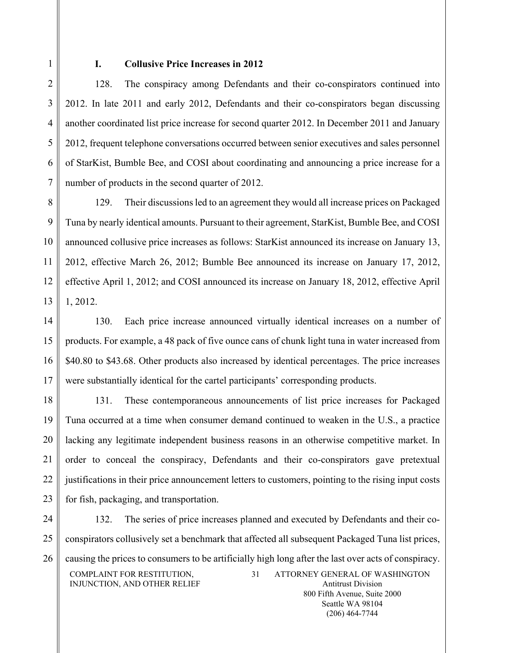1

 $\overline{2}$ 

3

4

5

6

7

### **I. Collusive Price Increases in 2012**

128. The conspiracy among Defendants and their co-conspirators continued into 2012. In late 2011 and early 2012, Defendants and their co-conspirators began discussing another coordinated list price increase for second quarter 2012. In December 2011 and January 2012, frequent telephone conversations occurred between senior executives and sales personnel of StarKist, Bumble Bee, and COSI about coordinating and announcing a price increase for a number of products in the second quarter of 2012.

8 9 10 11 12 13 129. Their discussions led to an agreement they would all increase prices on Packaged Tuna by nearly identical amounts. Pursuant to their agreement, StarKist, Bumble Bee, and COSI announced collusive price increases as follows: StarKist announced its increase on January 13, 2012, effective March 26, 2012; Bumble Bee announced its increase on January 17, 2012, effective April 1, 2012; and COSI announced its increase on January 18, 2012, effective April 1, 2012.

14 15 16 17 130. Each price increase announced virtually identical increases on a number of products. For example, a 48 pack of five ounce cans of chunk light tuna in water increased from \$40.80 to \$43.68. Other products also increased by identical percentages. The price increases were substantially identical for the cartel participants' corresponding products.

18 19 20 21 22 23 131. These contemporaneous announcements of list price increases for Packaged Tuna occurred at a time when consumer demand continued to weaken in the U.S., a practice lacking any legitimate independent business reasons in an otherwise competitive market. In order to conceal the conspiracy, Defendants and their co-conspirators gave pretextual justifications in their price announcement letters to customers, pointing to the rising input costs for fish, packaging, and transportation.

24 25 26 COMPLAINT FOR RESTITUTION, INJUNCTION, AND OTHER RELIEF 31 ATTORNEY GENERAL OF WASHINGTON Antitrust Division 800 Fifth Avenue, Suite 2000 132. The series of price increases planned and executed by Defendants and their coconspirators collusively set a benchmark that affected all subsequent Packaged Tuna list prices, causing the prices to consumers to be artificially high long after the last over acts of conspiracy.

> Seattle WA 98104 (206) 464-7744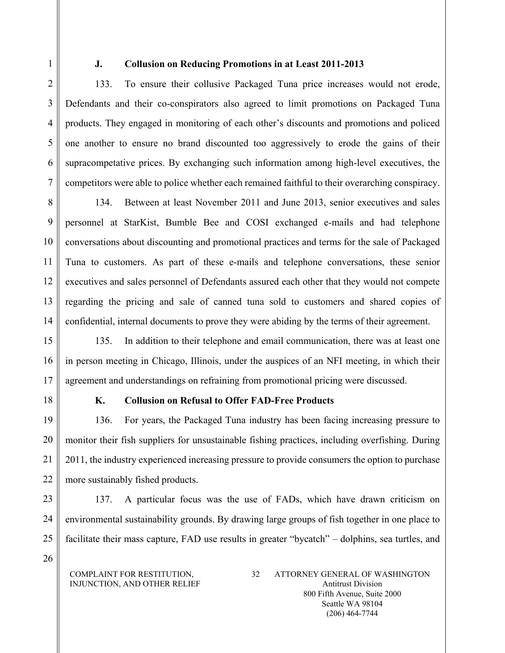1

2

3

4

5

6

7

# **J. Collusion on Reducing Promotions in at Least 2011-2013**

133. To ensure their collusive Packaged Tuna price increases would not erode, Defendants and their co-conspirators also agreed to limit promotions on Packaged Tuna products. They engaged in monitoring of each other's discounts and promotions and policed one another to ensure no brand discounted too aggressively to erode the gains of their supracompetative prices. By exchanging such information among high-level executives, the competitors were able to police whether each remained faithful to their overarching conspiracy.

8 9 10 11 12 13 14 134. Between at least November 2011 and June 2013, senior executives and sales personnel at StarKist, Bumble Bee and COSI exchanged e-mails and had telephone conversations about discounting and promotional practices and terms for the sale of Packaged Tuna to customers. As part of these e-mails and telephone conversations, these senior executives and sales personnel of Defendants assured each other that they would not compete regarding the pricing and sale of canned tuna sold to customers and shared copies of confidential, internal documents to prove they were abiding by the terms of their agreement.

15 16 17 135. In addition to their telephone and email communication, there was at least one in person meeting in Chicago, Illinois, under the auspices of an NFI meeting, in which their agreement and understandings on refraining from promotional pricing were discussed.

18

26

# **K. Collusion on Refusal to Offer FAD-Free Products**

19 20 21 22 136. For years, the Packaged Tuna industry has been facing increasing pressure to monitor their fish suppliers for unsustainable fishing practices, including overfishing. During 2011, the industry experienced increasing pressure to provide consumers the option to purchase more sustainably fished products.

23 24 25 137. A particular focus was the use of FADs, which have drawn criticism on environmental sustainability grounds. By drawing large groups of fish together in one place to facilitate their mass capture, FAD use results in greater "bycatch" – dolphins, sea turtles, and

COMPLAINT FOR RESTITUTION, INJUNCTION, AND OTHER RELIEF

<sup>32</sup> ATTORNEY GENERAL OF WASHINGTON Antitrust Division 800 Fifth Avenue, Suite 2000 Seattle WA 98104 (206) 464-7744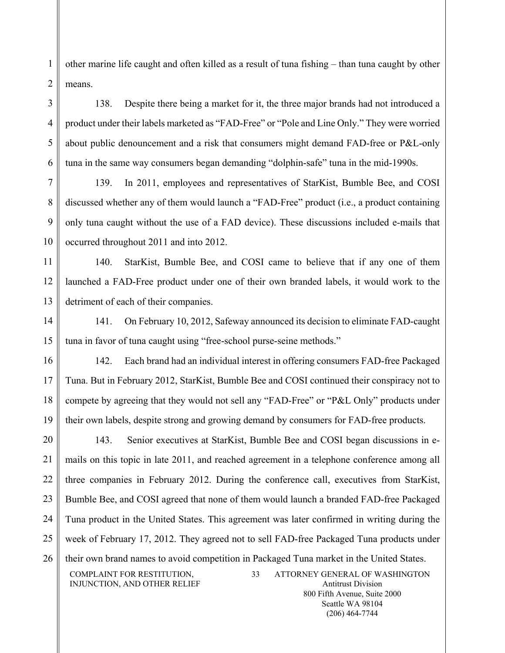other marine life caught and often killed as a result of tuna fishing – than tuna caught by other means.

138. Despite there being a market for it, the three major brands had not introduced a product under their labels marketed as "FAD-Free" or "Pole and Line Only." They were worried about public denouncement and a risk that consumers might demand FAD-free or P&L-only tuna in the same way consumers began demanding "dolphin-safe" tuna in the mid-1990s.

139. In 2011, employees and representatives of StarKist, Bumble Bee, and COSI discussed whether any of them would launch a "FAD-Free" product (i.e., a product containing only tuna caught without the use of a FAD device). These discussions included e-mails that occurred throughout 2011 and into 2012.

11 12 13 140. StarKist, Bumble Bee, and COSI came to believe that if any one of them launched a FAD-Free product under one of their own branded labels, it would work to the detriment of each of their companies.

14 15 141. On February 10, 2012, Safeway announced its decision to eliminate FAD-caught tuna in favor of tuna caught using "free-school purse-seine methods."

16 17 18 19 142. Each brand had an individual interest in offering consumers FAD-free Packaged Tuna. But in February 2012, StarKist, Bumble Bee and COSI continued their conspiracy not to compete by agreeing that they would not sell any "FAD-Free" or "P&L Only" products under their own labels, despite strong and growing demand by consumers for FAD-free products.

20 21 22 23 24 25 26 COMPLAINT FOR RESTITUTION, 143. Senior executives at StarKist, Bumble Bee and COSI began discussions in emails on this topic in late 2011, and reached agreement in a telephone conference among all three companies in February 2012. During the conference call, executives from StarKist, Bumble Bee, and COSI agreed that none of them would launch a branded FAD-free Packaged Tuna product in the United States. This agreement was later confirmed in writing during the week of February 17, 2012. They agreed not to sell FAD-free Packaged Tuna products under their own brand names to avoid competition in Packaged Tuna market in the United States.

INJUNCTION, AND OTHER RELIEF

33 ATTORNEY GENERAL OF WASHINGTON Antitrust Division 800 Fifth Avenue, Suite 2000 Seattle WA 98104

(206) 464-7744

1

 $\overline{2}$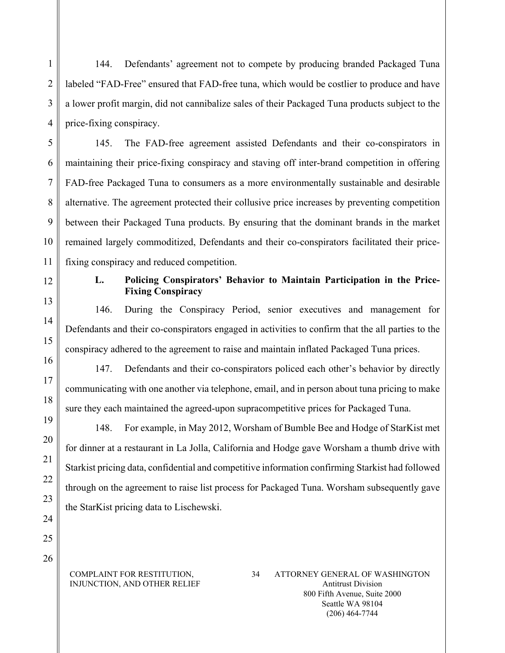144. Defendants' agreement not to compete by producing branded Packaged Tuna labeled "FAD-Free" ensured that FAD-free tuna, which would be costlier to produce and have a lower profit margin, did not cannibalize sales of their Packaged Tuna products subject to the price-fixing conspiracy.

5 6 7 8 9 10 145. The FAD-free agreement assisted Defendants and their co-conspirators in maintaining their price-fixing conspiracy and staving off inter-brand competition in offering FAD-free Packaged Tuna to consumers as a more environmentally sustainable and desirable alternative. The agreement protected their collusive price increases by preventing competition between their Packaged Tuna products. By ensuring that the dominant brands in the market remained largely commoditized, Defendants and their co-conspirators facilitated their pricefixing conspiracy and reduced competition.

12

11

13

14

15

16

17

18

19

20

21

22

23

24

1

 $\overline{2}$ 

3

4

# **L. Policing Conspirators' Behavior to Maintain Participation in the Price-Fixing Conspiracy**

146. During the Conspiracy Period, senior executives and management for Defendants and their co-conspirators engaged in activities to confirm that the all parties to the conspiracy adhered to the agreement to raise and maintain inflated Packaged Tuna prices.

147. Defendants and their co-conspirators policed each other's behavior by directly communicating with one another via telephone, email, and in person about tuna pricing to make sure they each maintained the agreed-upon supracompetitive prices for Packaged Tuna.

148. For example, in May 2012, Worsham of Bumble Bee and Hodge of StarKist met for dinner at a restaurant in La Jolla, California and Hodge gave Worsham a thumb drive with Starkist pricing data, confidential and competitive information confirming Starkist had followed through on the agreement to raise list process for Packaged Tuna. Worsham subsequently gave the StarKist pricing data to Lischewski.

25 26

### COMPLAINT FOR RESTITUTION, INJUNCTION, AND OTHER RELIEF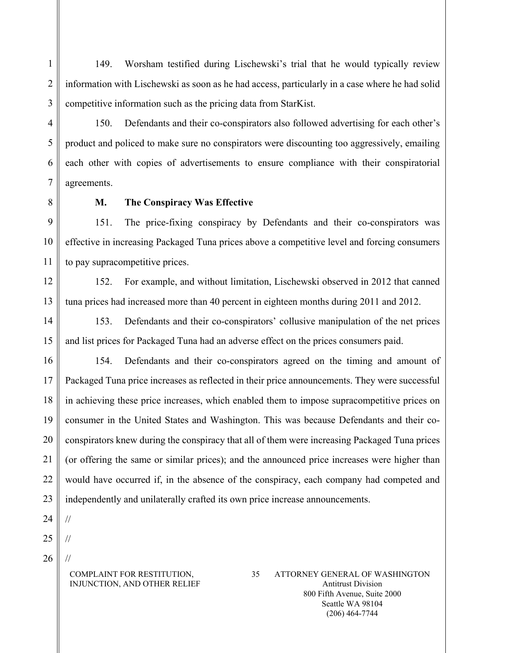149. Worsham testified during Lischewski's trial that he would typically review information with Lischewski as soon as he had access, particularly in a case where he had solid competitive information such as the pricing data from StarKist.

150. Defendants and their co-conspirators also followed advertising for each other's product and policed to make sure no conspirators were discounting too aggressively, emailing each other with copies of advertisements to ensure compliance with their conspiratorial agreements.

1

2

3

4

5

6

7

8

### **M. The Conspiracy Was Effective**

9 10 11 151. The price-fixing conspiracy by Defendants and their co-conspirators was effective in increasing Packaged Tuna prices above a competitive level and forcing consumers to pay supracompetitive prices.

12 13 152. For example, and without limitation, Lischewski observed in 2012 that canned tuna prices had increased more than 40 percent in eighteen months during 2011 and 2012.

14 15 153. Defendants and their co-conspirators' collusive manipulation of the net prices and list prices for Packaged Tuna had an adverse effect on the prices consumers paid.

16 17 18 19 20 21 22 23 154. Defendants and their co-conspirators agreed on the timing and amount of Packaged Tuna price increases as reflected in their price announcements. They were successful in achieving these price increases, which enabled them to impose supracompetitive prices on consumer in the United States and Washington. This was because Defendants and their coconspirators knew during the conspiracy that all of them were increasing Packaged Tuna prices (or offering the same or similar prices); and the announced price increases were higher than would have occurred if, in the absence of the conspiracy, each company had competed and independently and unilaterally crafted its own price increase announcements.

24

//

//

//

- 25
- 26

### COMPLAINT FOR RESTITUTION, INJUNCTION, AND OTHER RELIEF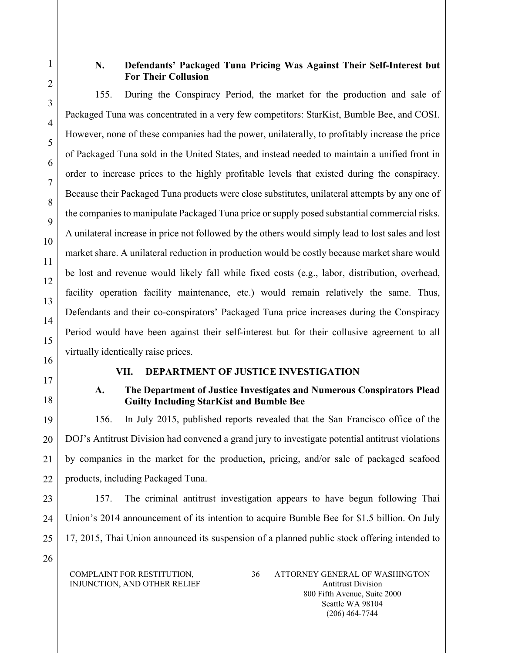1

2

3

4

5

6

7

8

9

10

11

12

13

14

15

# **N. Defendants' Packaged Tuna Pricing Was Against Their Self-Interest but For Their Collusion**

155. During the Conspiracy Period, the market for the production and sale of Packaged Tuna was concentrated in a very few competitors: StarKist, Bumble Bee, and COSI. However, none of these companies had the power, unilaterally, to profitably increase the price of Packaged Tuna sold in the United States, and instead needed to maintain a unified front in order to increase prices to the highly profitable levels that existed during the conspiracy. Because their Packaged Tuna products were close substitutes, unilateral attempts by any one of the companies to manipulate Packaged Tuna price or supply posed substantial commercial risks. A unilateral increase in price not followed by the others would simply lead to lost sales and lost market share. A unilateral reduction in production would be costly because market share would be lost and revenue would likely fall while fixed costs (e.g., labor, distribution, overhead, facility operation facility maintenance, etc.) would remain relatively the same. Thus, Defendants and their co-conspirators' Packaged Tuna price increases during the Conspiracy Period would have been against their self-interest but for their collusive agreement to all virtually identically raise prices.

- 16
- 17 18

19

20

21

22

# **VII. DEPARTMENT OF JUSTICE INVESTIGATION**

# **A. The Department of Justice Investigates and Numerous Conspirators Plead Guilty Including StarKist and Bumble Bee**

156. In July 2015, published reports revealed that the San Francisco office of the DOJ's Antitrust Division had convened a grand jury to investigate potential antitrust violations by companies in the market for the production, pricing, and/or sale of packaged seafood products, including Packaged Tuna.

23 24 25 157. The criminal antitrust investigation appears to have begun following Thai Union's 2014 announcement of its intention to acquire Bumble Bee for \$1.5 billion. On July 17, 2015, Thai Union announced its suspension of a planned public stock offering intended to

26

COMPLAINT FOR RESTITUTION, INJUNCTION, AND OTHER RELIEF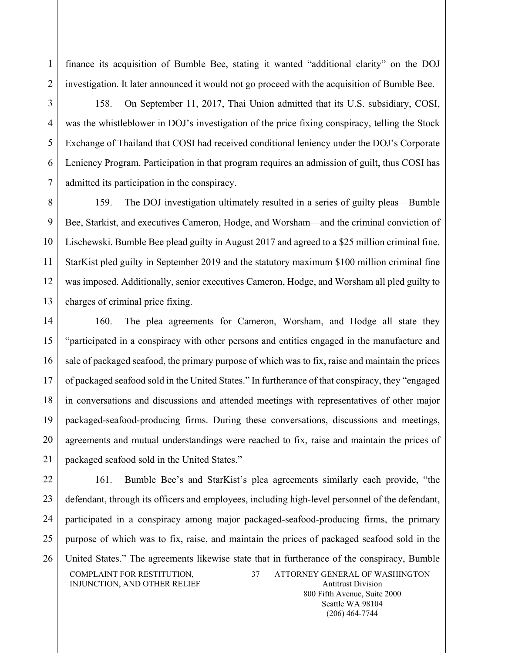finance its acquisition of Bumble Bee, stating it wanted "additional clarity" on the DOJ investigation. It later announced it would not go proceed with the acquisition of Bumble Bee.

1

2

3

4

5

6

7

158. On September 11, 2017, Thai Union admitted that its U.S. subsidiary, COSI, was the whistleblower in DOJ's investigation of the price fixing conspiracy, telling the Stock Exchange of Thailand that COSI had received conditional leniency under the DOJ's Corporate Leniency Program. Participation in that program requires an admission of guilt, thus COSI has admitted its participation in the conspiracy.

8 9 10 11 12 13 159. The DOJ investigation ultimately resulted in a series of guilty pleas—Bumble Bee, Starkist, and executives Cameron, Hodge, and Worsham—and the criminal conviction of Lischewski. Bumble Bee plead guilty in August 2017 and agreed to a \$25 million criminal fine. StarKist pled guilty in September 2019 and the statutory maximum \$100 million criminal fine was imposed. Additionally, senior executives Cameron, Hodge, and Worsham all pled guilty to charges of criminal price fixing.

14 15 16 17 18 19 20 21 160. The plea agreements for Cameron, Worsham, and Hodge all state they "participated in a conspiracy with other persons and entities engaged in the manufacture and sale of packaged seafood, the primary purpose of which was to fix, raise and maintain the prices of packaged seafood sold in the United States." In furtherance of that conspiracy, they "engaged in conversations and discussions and attended meetings with representatives of other major packaged-seafood-producing firms. During these conversations, discussions and meetings, agreements and mutual understandings were reached to fix, raise and maintain the prices of packaged seafood sold in the United States."

22 23 24 25 26 COMPLAINT FOR RESTITUTION, INJUNCTION, AND OTHER RELIEF 37 ATTORNEY GENERAL OF WASHINGTON Antitrust Division 161. Bumble Bee's and StarKist's plea agreements similarly each provide, "the defendant, through its officers and employees, including high-level personnel of the defendant, participated in a conspiracy among major packaged-seafood-producing firms, the primary purpose of which was to fix, raise, and maintain the prices of packaged seafood sold in the United States." The agreements likewise state that in furtherance of the conspiracy, Bumble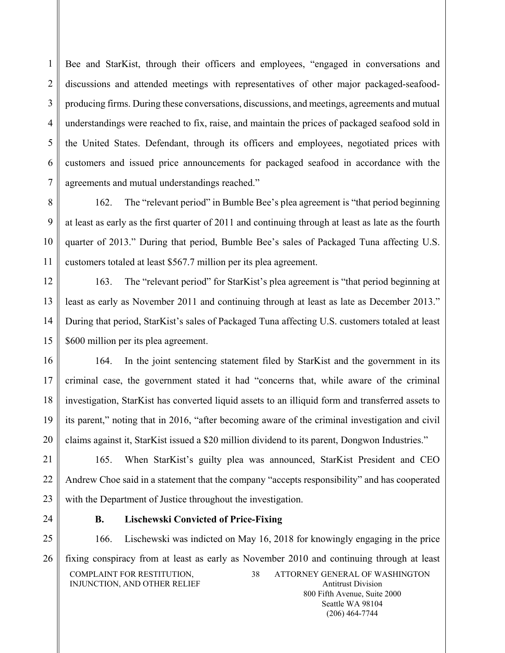Bee and StarKist, through their officers and employees, "engaged in conversations and discussions and attended meetings with representatives of other major packaged-seafoodproducing firms. During these conversations, discussions, and meetings, agreements and mutual understandings were reached to fix, raise, and maintain the prices of packaged seafood sold in the United States. Defendant, through its officers and employees, negotiated prices with customers and issued price announcements for packaged seafood in accordance with the agreements and mutual understandings reached."

8 9 10 11 162. The "relevant period" in Bumble Bee's plea agreement is "that period beginning at least as early as the first quarter of 2011 and continuing through at least as late as the fourth quarter of 2013." During that period, Bumble Bee's sales of Packaged Tuna affecting U.S. customers totaled at least \$567.7 million per its plea agreement.

12 13 14 15 163. The "relevant period" for StarKist's plea agreement is "that period beginning at least as early as November 2011 and continuing through at least as late as December 2013." During that period, StarKist's sales of Packaged Tuna affecting U.S. customers totaled at least \$600 million per its plea agreement.

16 17 18 19 20 164. In the joint sentencing statement filed by StarKist and the government in its criminal case, the government stated it had "concerns that, while aware of the criminal investigation, StarKist has converted liquid assets to an illiquid form and transferred assets to its parent," noting that in 2016, "after becoming aware of the criminal investigation and civil claims against it, StarKist issued a \$20 million dividend to its parent, Dongwon Industries."

21 22 23 165. When StarKist's guilty plea was announced, StarKist President and CEO Andrew Choe said in a statement that the company "accepts responsibility" and has cooperated with the Department of Justice throughout the investigation.

24

1

 $\overline{2}$ 

3

4

5

6

7

# **B. Lischewski Convicted of Price-Fixing**

25 26 COMPLAINT FOR RESTITUTION, INJUNCTION, AND OTHER RELIEF 38 ATTORNEY GENERAL OF WASHINGTON Antitrust Division 166. Lischewski was indicted on May 16, 2018 for knowingly engaging in the price fixing conspiracy from at least as early as November 2010 and continuing through at least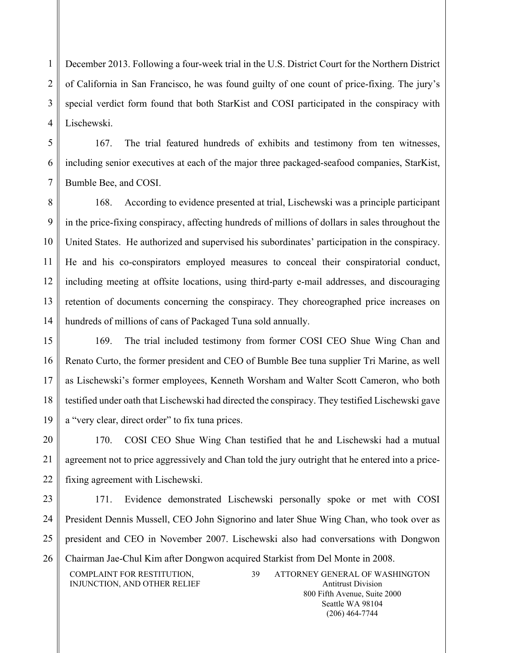1  $\overline{2}$ 3 4 December 2013. Following a four-week trial in the U.S. District Court for the Northern District of California in San Francisco, he was found guilty of one count of price-fixing. The jury's special verdict form found that both StarKist and COSI participated in the conspiracy with Lischewski.

5 6 7 167. The trial featured hundreds of exhibits and testimony from ten witnesses, including senior executives at each of the major three packaged-seafood companies, StarKist, Bumble Bee, and COSI.

8 9 10 11 12 13 14 168. According to evidence presented at trial, Lischewski was a principle participant in the price-fixing conspiracy, affecting hundreds of millions of dollars in sales throughout the United States. He authorized and supervised his subordinates' participation in the conspiracy. He and his co-conspirators employed measures to conceal their conspiratorial conduct, including meeting at offsite locations, using third-party e-mail addresses, and discouraging retention of documents concerning the conspiracy. They choreographed price increases on hundreds of millions of cans of Packaged Tuna sold annually.

15 16 17 18 19 169. The trial included testimony from former COSI CEO Shue Wing Chan and Renato Curto, the former president and CEO of Bumble Bee tuna supplier Tri Marine, as well as Lischewski's former employees, Kenneth Worsham and Walter Scott Cameron, who both testified under oath that Lischewski had directed the conspiracy. They testified Lischewski gave a "very clear, direct order" to fix tuna prices.

20 21 22 170. COSI CEO Shue Wing Chan testified that he and Lischewski had a mutual agreement not to price aggressively and Chan told the jury outright that he entered into a pricefixing agreement with Lischewski.

23 24 25 26 COMPLAINT FOR RESTITUTION, 39 ATTORNEY GENERAL OF WASHINGTON 171. Evidence demonstrated Lischewski personally spoke or met with COSI President Dennis Mussell, CEO John Signorino and later Shue Wing Chan, who took over as president and CEO in November 2007. Lischewski also had conversations with Dongwon Chairman Jae-Chul Kim after Dongwon acquired Starkist from Del Monte in 2008.

INJUNCTION, AND OTHER RELIEF

Antitrust Division 800 Fifth Avenue, Suite 2000 Seattle WA 98104 (206) 464-7744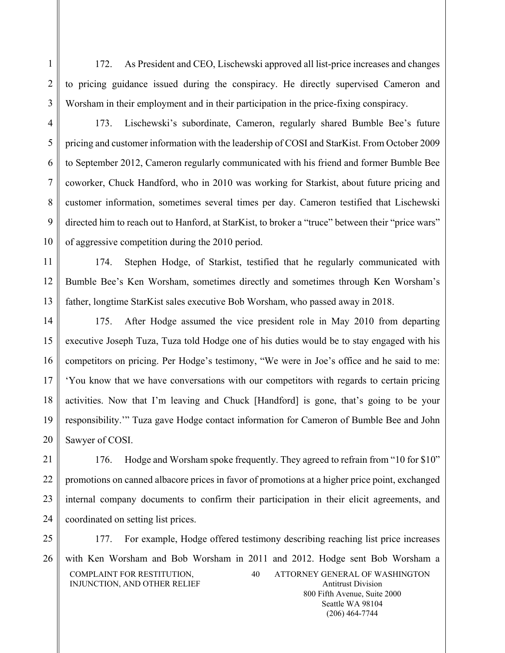172. As President and CEO, Lischewski approved all list-price increases and changes to pricing guidance issued during the conspiracy. He directly supervised Cameron and Worsham in their employment and in their participation in the price-fixing conspiracy.

3

1

2

4

5

6

7

8

9

10

173. Lischewski's subordinate, Cameron, regularly shared Bumble Bee's future pricing and customer information with the leadership of COSI and StarKist. From October 2009 to September 2012, Cameron regularly communicated with his friend and former Bumble Bee coworker, Chuck Handford, who in 2010 was working for Starkist, about future pricing and customer information, sometimes several times per day. Cameron testified that Lischewski directed him to reach out to Hanford, at StarKist, to broker a "truce" between their "price wars" of aggressive competition during the 2010 period.

11 12 13 174. Stephen Hodge, of Starkist, testified that he regularly communicated with Bumble Bee's Ken Worsham, sometimes directly and sometimes through Ken Worsham's father, longtime StarKist sales executive Bob Worsham, who passed away in 2018.

14 15 16 17 18 19 20 175. After Hodge assumed the vice president role in May 2010 from departing executive Joseph Tuza, Tuza told Hodge one of his duties would be to stay engaged with his competitors on pricing. Per Hodge's testimony, "We were in Joe's office and he said to me: 'You know that we have conversations with our competitors with regards to certain pricing activities. Now that I'm leaving and Chuck [Handford] is gone, that's going to be your responsibility.'" Tuza gave Hodge contact information for Cameron of Bumble Bee and John Sawyer of COSI.

21 22 23 24 176. Hodge and Worsham spoke frequently. They agreed to refrain from "10 for \$10" promotions on canned albacore prices in favor of promotions at a higher price point, exchanged internal company documents to confirm their participation in their elicit agreements, and coordinated on setting list prices.

25 26 COMPLAINT FOR RESTITUTION, INJUNCTION, AND OTHER RELIEF 40 ATTORNEY GENERAL OF WASHINGTON Antitrust Division 177. For example, Hodge offered testimony describing reaching list price increases with Ken Worsham and Bob Worsham in 2011 and 2012. Hodge sent Bob Worsham a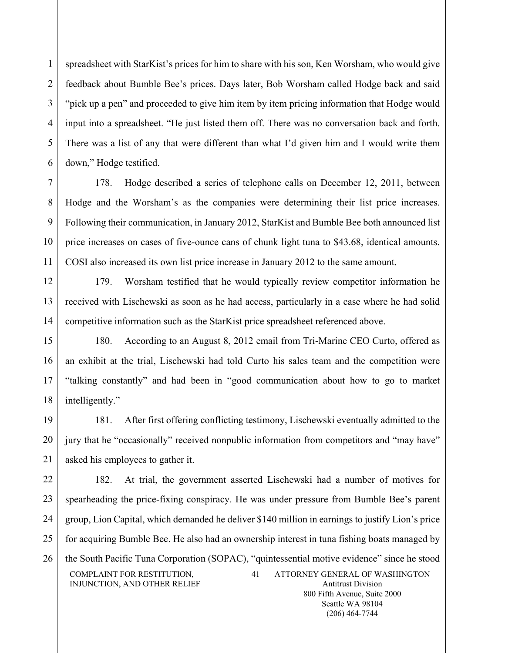spreadsheet with StarKist's prices for him to share with his son, Ken Worsham, who would give feedback about Bumble Bee's prices. Days later, Bob Worsham called Hodge back and said "pick up a pen" and proceeded to give him item by item pricing information that Hodge would input into a spreadsheet. "He just listed them off. There was no conversation back and forth. There was a list of any that were different than what I'd given him and I would write them down," Hodge testified.

1

 $\overline{2}$ 

3

4

5

6

7 8 9 10 11 178. Hodge described a series of telephone calls on December 12, 2011, between Hodge and the Worsham's as the companies were determining their list price increases. Following their communication, in January 2012, StarKist and Bumble Bee both announced list price increases on cases of five-ounce cans of chunk light tuna to \$43.68, identical amounts. COSI also increased its own list price increase in January 2012 to the same amount.

12 13 14 179. Worsham testified that he would typically review competitor information he received with Lischewski as soon as he had access, particularly in a case where he had solid competitive information such as the StarKist price spreadsheet referenced above.

15 16 17 18 180. According to an August 8, 2012 email from Tri-Marine CEO Curto, offered as an exhibit at the trial, Lischewski had told Curto his sales team and the competition were "talking constantly" and had been in "good communication about how to go to market intelligently."

19 20 21 181. After first offering conflicting testimony, Lischewski eventually admitted to the jury that he "occasionally" received nonpublic information from competitors and "may have" asked his employees to gather it.

22 23 24 25 26 COMPLAINT FOR RESTITUTION, INJUNCTION, AND OTHER RELIEF 41 ATTORNEY GENERAL OF WASHINGTON Antitrust Division 182. At trial, the government asserted Lischewski had a number of motives for spearheading the price-fixing conspiracy. He was under pressure from Bumble Bee's parent group, Lion Capital, which demanded he deliver \$140 million in earnings to justify Lion's price for acquiring Bumble Bee. He also had an ownership interest in tuna fishing boats managed by the South Pacific Tuna Corporation (SOPAC), "quintessential motive evidence" since he stood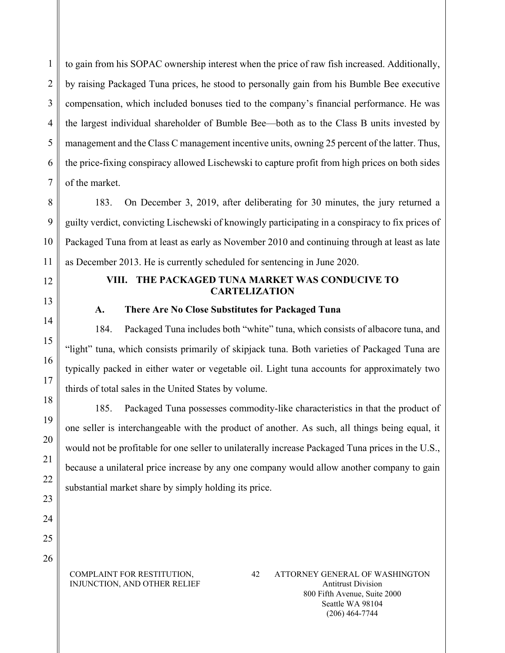to gain from his SOPAC ownership interest when the price of raw fish increased. Additionally, by raising Packaged Tuna prices, he stood to personally gain from his Bumble Bee executive compensation, which included bonuses tied to the company's financial performance. He was the largest individual shareholder of Bumble Bee—both as to the Class B units invested by management and the Class C management incentive units, owning 25 percent of the latter. Thus, the price-fixing conspiracy allowed Lischewski to capture profit from high prices on both sides of the market.

8 9 10 11 183. On December 3, 2019, after deliberating for 30 minutes, the jury returned a guilty verdict, convicting Lischewski of knowingly participating in a conspiracy to fix prices of Packaged Tuna from at least as early as November 2010 and continuing through at least as late as December 2013. He is currently scheduled for sentencing in June 2020.

12

13

14

15

16

17

18

19

20

21

22

23

24

1

 $\overline{2}$ 

3

4

5

6

7

# **VIII. THE PACKAGED TUNA MARKET WAS CONDUCIVE TO CARTELIZATION**

**A. There Are No Close Substitutes for Packaged Tuna**

184. Packaged Tuna includes both "white" tuna, which consists of albacore tuna, and "light" tuna, which consists primarily of skipjack tuna. Both varieties of Packaged Tuna are typically packed in either water or vegetable oil. Light tuna accounts for approximately two thirds of total sales in the United States by volume.

185. Packaged Tuna possesses commodity-like characteristics in that the product of one seller is interchangeable with the product of another. As such, all things being equal, it would not be profitable for one seller to unilaterally increase Packaged Tuna prices in the U.S., because a unilateral price increase by any one company would allow another company to gain substantial market share by simply holding its price.

25 26

> COMPLAINT FOR RESTITUTION, INJUNCTION, AND OTHER RELIEF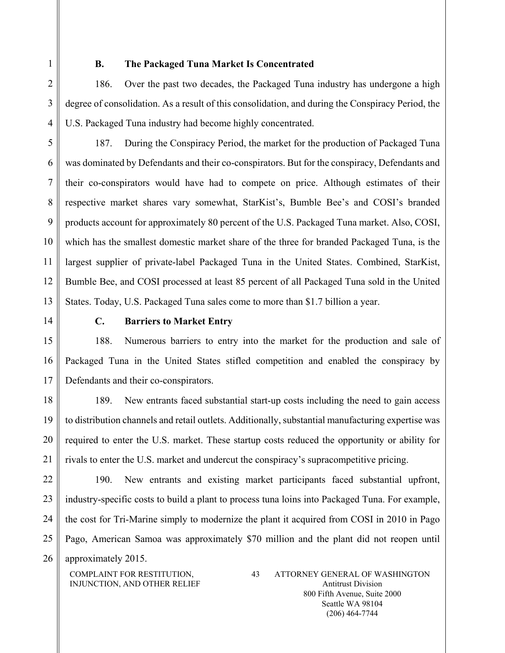1

2

3

4

### **B. The Packaged Tuna Market Is Concentrated**

186. Over the past two decades, the Packaged Tuna industry has undergone a high degree of consolidation. As a result of this consolidation, and during the Conspiracy Period, the U.S. Packaged Tuna industry had become highly concentrated.

5 6 7 8 9 10 11 12 13 187. During the Conspiracy Period, the market for the production of Packaged Tuna was dominated by Defendants and their co-conspirators. But for the conspiracy, Defendants and their co-conspirators would have had to compete on price. Although estimates of their respective market shares vary somewhat, StarKist's, Bumble Bee's and COSI's branded products account for approximately 80 percent of the U.S. Packaged Tuna market. Also, COSI, which has the smallest domestic market share of the three for branded Packaged Tuna, is the largest supplier of private-label Packaged Tuna in the United States. Combined, StarKist, Bumble Bee, and COSI processed at least 85 percent of all Packaged Tuna sold in the United States. Today, U.S. Packaged Tuna sales come to more than \$1.7 billion a year.

14

# **C. Barriers to Market Entry**

15 16 17 188. Numerous barriers to entry into the market for the production and sale of Packaged Tuna in the United States stifled competition and enabled the conspiracy by Defendants and their co-conspirators.

18 19 20 21 189. New entrants faced substantial start-up costs including the need to gain access to distribution channels and retail outlets. Additionally, substantial manufacturing expertise was required to enter the U.S. market. These startup costs reduced the opportunity or ability for rivals to enter the U.S. market and undercut the conspiracy's supracompetitive pricing.

22 23 24 25 26 190. New entrants and existing market participants faced substantial upfront, industry-specific costs to build a plant to process tuna loins into Packaged Tuna. For example, the cost for Tri-Marine simply to modernize the plant it acquired from COSI in 2010 in Pago Pago, American Samoa was approximately \$70 million and the plant did not reopen until approximately 2015.

COMPLAINT FOR RESTITUTION, INJUNCTION, AND OTHER RELIEF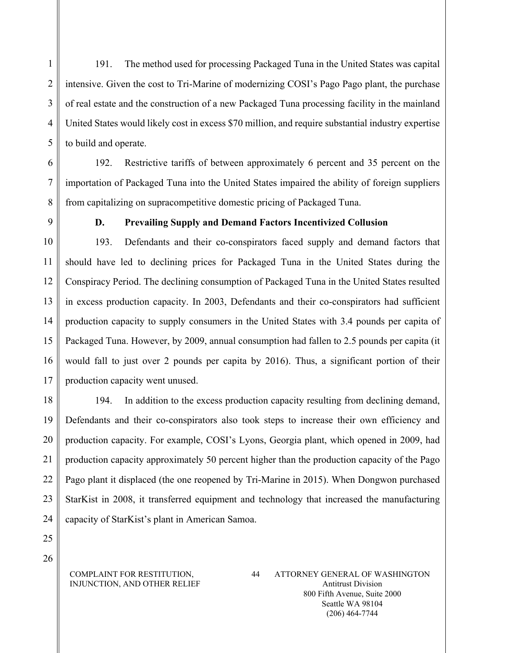191. The method used for processing Packaged Tuna in the United States was capital intensive. Given the cost to Tri-Marine of modernizing COSI's Pago Pago plant, the purchase of real estate and the construction of a new Packaged Tuna processing facility in the mainland United States would likely cost in excess \$70 million, and require substantial industry expertise to build and operate.

6 7 8 192. Restrictive tariffs of between approximately 6 percent and 35 percent on the importation of Packaged Tuna into the United States impaired the ability of foreign suppliers from capitalizing on supracompetitive domestic pricing of Packaged Tuna.

9

1

2

3

4

5

# **D. Prevailing Supply and Demand Factors Incentivized Collusion**

10 11 12 13 14 15 16 17 193. Defendants and their co-conspirators faced supply and demand factors that should have led to declining prices for Packaged Tuna in the United States during the Conspiracy Period. The declining consumption of Packaged Tuna in the United States resulted in excess production capacity. In 2003, Defendants and their co-conspirators had sufficient production capacity to supply consumers in the United States with 3.4 pounds per capita of Packaged Tuna. However, by 2009, annual consumption had fallen to 2.5 pounds per capita (it would fall to just over 2 pounds per capita by 2016). Thus, a significant portion of their production capacity went unused.

18 19 20 21 22 23 24 194. In addition to the excess production capacity resulting from declining demand, Defendants and their co-conspirators also took steps to increase their own efficiency and production capacity. For example, COSI's Lyons, Georgia plant, which opened in 2009, had production capacity approximately 50 percent higher than the production capacity of the Pago Pago plant it displaced (the one reopened by Tri-Marine in 2015). When Dongwon purchased StarKist in 2008, it transferred equipment and technology that increased the manufacturing capacity of StarKist's plant in American Samoa.

25 26

#### COMPLAINT FOR RESTITUTION, INJUNCTION, AND OTHER RELIEF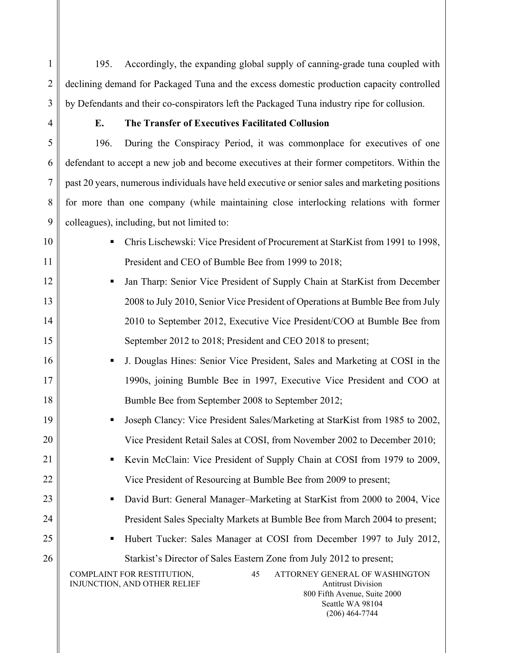195. Accordingly, the expanding global supply of canning-grade tuna coupled with declining demand for Packaged Tuna and the excess domestic production capacity controlled by Defendants and their co-conspirators left the Packaged Tuna industry ripe for collusion.

1

2

3

4

5

6

7

8

9

10

# **E. The Transfer of Executives Facilitated Collusion**

196. During the Conspiracy Period, it was commonplace for executives of one defendant to accept a new job and become executives at their former competitors. Within the past 20 years, numerous individuals have held executive or senior sales and marketing positions for more than one company (while maintaining close interlocking relations with former colleagues), including, but not limited to:

11 12 13 14 15 16 17 18 19 20 21 22 23 24 25 26 COMPLAINT FOR RESTITUTION, INJUNCTION, AND OTHER RELIEF 45 ATTORNEY GENERAL OF WASHINGTON Antitrust Division 800 Fifth Avenue, Suite 2000 Seattle WA 98104 (206) 464-7744 Chris Lischewski: Vice President of Procurement at StarKist from 1991 to 1998, President and CEO of Bumble Bee from 1999 to 2018; Jan Tharp: Senior Vice President of Supply Chain at StarKist from December 2008 to July 2010, Senior Vice President of Operations at Bumble Bee from July 2010 to September 2012, Executive Vice President/COO at Bumble Bee from September 2012 to 2018; President and CEO 2018 to present; J. Douglas Hines: Senior Vice President, Sales and Marketing at COSI in the 1990s, joining Bumble Bee in 1997, Executive Vice President and COO at Bumble Bee from September 2008 to September 2012; Joseph Clancy: Vice President Sales/Marketing at StarKist from 1985 to 2002, Vice President Retail Sales at COSI, from November 2002 to December 2010; Kevin McClain: Vice President of Supply Chain at COSI from 1979 to 2009, Vice President of Resourcing at Bumble Bee from 2009 to present; ■ David Burt: General Manager–Marketing at StarKist from 2000 to 2004, Vice President Sales Specialty Markets at Bumble Bee from March 2004 to present; Hubert Tucker: Sales Manager at COSI from December 1997 to July 2012, Starkist's Director of Sales Eastern Zone from July 2012 to present;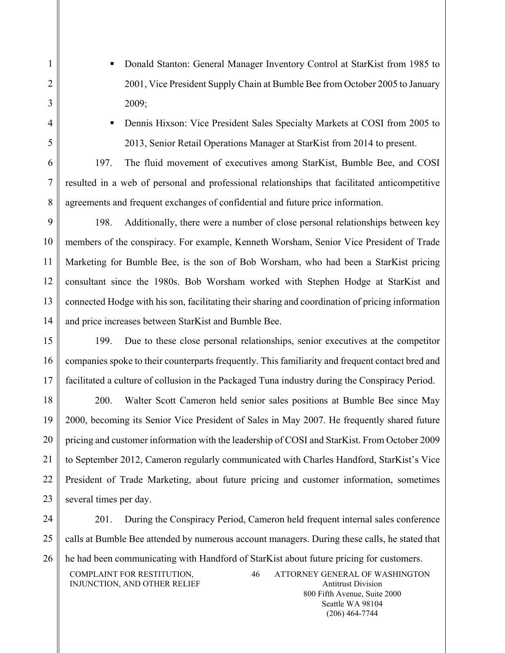- Donald Stanton: General Manager Inventory Control at StarKist from 1985 to 2001, Vice President Supply Chain at Bumble Bee from October 2005 to January 2009;
- 

1

2

3

4

5

6

7

8

 Dennis Hixson: Vice President Sales Specialty Markets at COSI from 2005 to 2013, Senior Retail Operations Manager at StarKist from 2014 to present.

197. The fluid movement of executives among StarKist, Bumble Bee, and COSI resulted in a web of personal and professional relationships that facilitated anticompetitive agreements and frequent exchanges of confidential and future price information.

9 10 11 12 13 14 198. Additionally, there were a number of close personal relationships between key members of the conspiracy. For example, Kenneth Worsham, Senior Vice President of Trade Marketing for Bumble Bee, is the son of Bob Worsham, who had been a StarKist pricing consultant since the 1980s. Bob Worsham worked with Stephen Hodge at StarKist and connected Hodge with his son, facilitating their sharing and coordination of pricing information and price increases between StarKist and Bumble Bee.

15 16 17 199. Due to these close personal relationships, senior executives at the competitor companies spoke to their counterparts frequently. This familiarity and frequent contact bred and facilitated a culture of collusion in the Packaged Tuna industry during the Conspiracy Period.

18 19 20 21 22 23 200. Walter Scott Cameron held senior sales positions at Bumble Bee since May 2000, becoming its Senior Vice President of Sales in May 2007. He frequently shared future pricing and customer information with the leadership of COSI and StarKist. From October 2009 to September 2012, Cameron regularly communicated with Charles Handford, StarKist's Vice President of Trade Marketing, about future pricing and customer information, sometimes several times per day.

24 25 26 COMPLAINT FOR RESTITUTION, INJUNCTION, AND OTHER RELIEF 46 ATTORNEY GENERAL OF WASHINGTON Antitrust Division 201. During the Conspiracy Period, Cameron held frequent internal sales conference calls at Bumble Bee attended by numerous account managers. During these calls, he stated that he had been communicating with Handford of StarKist about future pricing for customers.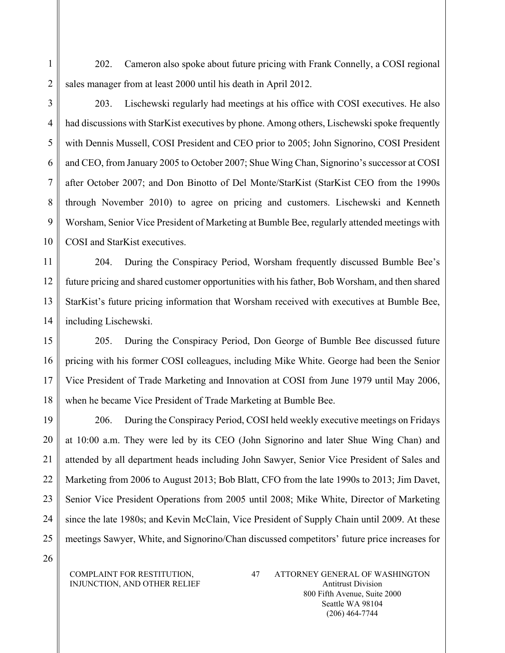1 2 202. Cameron also spoke about future pricing with Frank Connelly, a COSI regional sales manager from at least 2000 until his death in April 2012.

3

4

5

6

7

8

9

10

203. Lischewski regularly had meetings at his office with COSI executives. He also had discussions with StarKist executives by phone. Among others, Lischewski spoke frequently with Dennis Mussell, COSI President and CEO prior to 2005; John Signorino, COSI President and CEO, from January 2005 to October 2007; Shue Wing Chan, Signorino's successor at COSI after October 2007; and Don Binotto of Del Monte/StarKist (StarKist CEO from the 1990s through November 2010) to agree on pricing and customers. Lischewski and Kenneth Worsham, Senior Vice President of Marketing at Bumble Bee, regularly attended meetings with COSI and StarKist executives.

11 12 13 14 204. During the Conspiracy Period, Worsham frequently discussed Bumble Bee's future pricing and shared customer opportunities with his father, Bob Worsham, and then shared StarKist's future pricing information that Worsham received with executives at Bumble Bee, including Lischewski.

15 16 17 18 205. During the Conspiracy Period, Don George of Bumble Bee discussed future pricing with his former COSI colleagues, including Mike White. George had been the Senior Vice President of Trade Marketing and Innovation at COSI from June 1979 until May 2006, when he became Vice President of Trade Marketing at Bumble Bee.

19 20 21 22 23 24 25 206. During the Conspiracy Period, COSI held weekly executive meetings on Fridays at 10:00 a.m. They were led by its CEO (John Signorino and later Shue Wing Chan) and attended by all department heads including John Sawyer, Senior Vice President of Sales and Marketing from 2006 to August 2013; Bob Blatt, CFO from the late 1990s to 2013; Jim Davet, Senior Vice President Operations from 2005 until 2008; Mike White, Director of Marketing since the late 1980s; and Kevin McClain, Vice President of Supply Chain until 2009. At these meetings Sawyer, White, and Signorino/Chan discussed competitors' future price increases for

26

COMPLAINT FOR RESTITUTION, INJUNCTION, AND OTHER RELIEF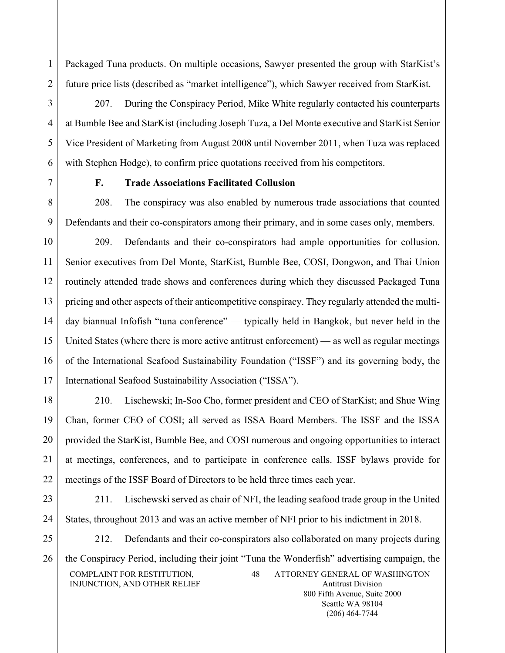Packaged Tuna products. On multiple occasions, Sawyer presented the group with StarKist's future price lists (described as "market intelligence"), which Sawyer received from StarKist.

3 4 5 6 207. During the Conspiracy Period, Mike White regularly contacted his counterparts at Bumble Bee and StarKist (including Joseph Tuza, a Del Monte executive and StarKist Senior Vice President of Marketing from August 2008 until November 2011, when Tuza was replaced with Stephen Hodge), to confirm price quotations received from his competitors.

1

 $\overline{2}$ 

7

# **F. Trade Associations Facilitated Collusion**

8 9 208. The conspiracy was also enabled by numerous trade associations that counted Defendants and their co-conspirators among their primary, and in some cases only, members.

10 11 12 13 14 15 16 17 209. Defendants and their co-conspirators had ample opportunities for collusion. Senior executives from Del Monte, StarKist, Bumble Bee, COSI, Dongwon, and Thai Union routinely attended trade shows and conferences during which they discussed Packaged Tuna pricing and other aspects of their anticompetitive conspiracy. They regularly attended the multiday biannual Infofish "tuna conference" — typically held in Bangkok, but never held in the United States (where there is more active antitrust enforcement) — as well as regular meetings of the International Seafood Sustainability Foundation ("ISSF") and its governing body, the International Seafood Sustainability Association ("ISSA").

18 19 20 21 22 210. Lischewski; In-Soo Cho, former president and CEO of StarKist; and Shue Wing Chan, former CEO of COSI; all served as ISSA Board Members. The ISSF and the ISSA provided the StarKist, Bumble Bee, and COSI numerous and ongoing opportunities to interact at meetings, conferences, and to participate in conference calls. ISSF bylaws provide for meetings of the ISSF Board of Directors to be held three times each year.

23

24

211. Lischewski served as chair of NFI, the leading seafood trade group in the United States, throughout 2013 and was an active member of NFI prior to his indictment in 2018.

25 26 COMPLAINT FOR RESTITUTION, INJUNCTION, AND OTHER RELIEF 48 ATTORNEY GENERAL OF WASHINGTON Antitrust Division 212. Defendants and their co-conspirators also collaborated on many projects during the Conspiracy Period, including their joint "Tuna the Wonderfish" advertising campaign, the

800 Fifth Avenue, Suite 2000 Seattle WA 98104 (206) 464-7744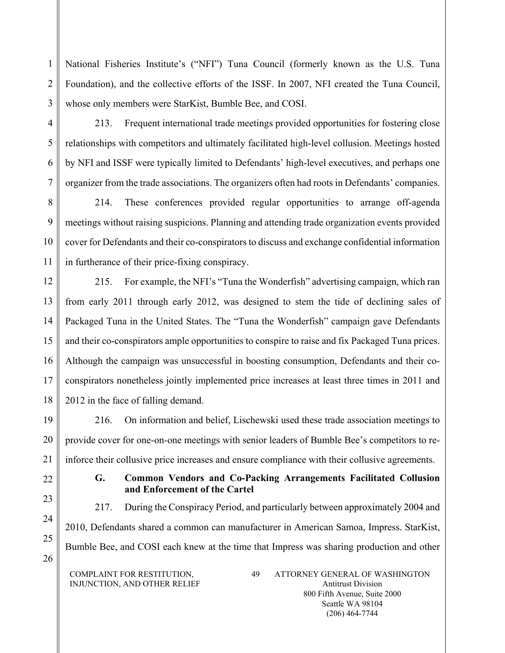National Fisheries Institute's ("NFI") Tuna Council (formerly known as the U.S. Tuna Foundation), and the collective efforts of the ISSF. In 2007, NFI created the Tuna Council, whose only members were StarKist, Bumble Bee, and COSI.

213. Frequent international trade meetings provided opportunities for fostering close relationships with competitors and ultimately facilitated high-level collusion. Meetings hosted by NFI and ISSF were typically limited to Defendants' high-level executives, and perhaps one organizer from the trade associations. The organizers often had roots in Defendants' companies.

8 9 10 11 214. These conferences provided regular opportunities to arrange off-agenda meetings without raising suspicions. Planning and attending trade organization events provided cover for Defendants and their co-conspirators to discuss and exchange confidential information in furtherance of their price-fixing conspiracy.

12 13 14 15 16 17 18 215. For example, the NFI's "Tuna the Wonderfish" advertising campaign, which ran from early 2011 through early 2012, was designed to stem the tide of declining sales of Packaged Tuna in the United States. The "Tuna the Wonderfish" campaign gave Defendants and their co-conspirators ample opportunities to conspire to raise and fix Packaged Tuna prices. Although the campaign was unsuccessful in boosting consumption, Defendants and their coconspirators nonetheless jointly implemented price increases at least three times in 2011 and 2012 in the face of falling demand.

19 20 21 216. On information and belief, Lischewski used these trade association meetings to provide cover for one-on-one meetings with senior leaders of Bumble Bee's competitors to reinforce their collusive price increases and ensure compliance with their collusive agreements.

**and Enforcement of the Cartel**

**G. Common Vendors and Co-Packing Arrangements Facilitated Collusion** 

217. During the Conspiracy Period, and particularly between approximately 2004 and

# 22

1

 $\overline{2}$ 

3

4

5

6

7

23

24 25

26 Bumble Bee, and COSI each knew at the time that Impress was sharing production and other

2010, Defendants shared a common can manufacturer in American Samoa, Impress. StarKist,

COMPLAINT FOR RESTITUTION, INJUNCTION, AND OTHER RELIEF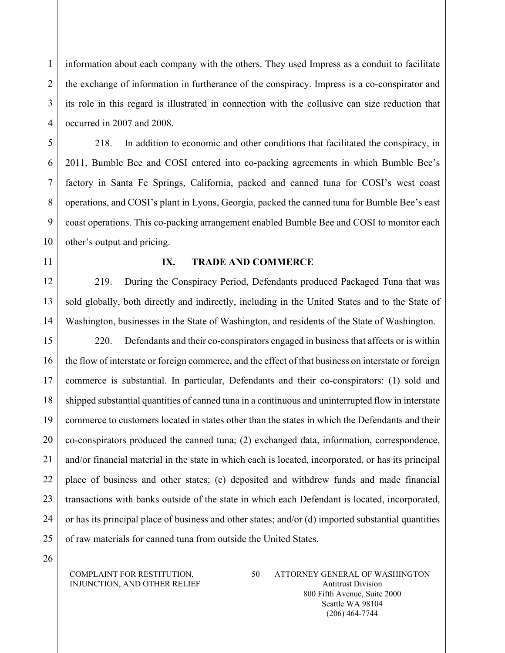information about each company with the others. They used Impress as a conduit to facilitate the exchange of information in furtherance of the conspiracy. Impress is a co-conspirator and its role in this regard is illustrated in connection with the collusive can size reduction that occurred in 2007 and 2008.

218. In addition to economic and other conditions that facilitated the conspiracy, in 2011, Bumble Bee and COSI entered into co-packing agreements in which Bumble Bee's factory in Santa Fe Springs, California, packed and canned tuna for COSI's west coast operations, and COSI's plant in Lyons, Georgia, packed the canned tuna for Bumble Bee's east coast operations. This co-packing arrangement enabled Bumble Bee and COSI to monitor each other's output and pricing.

11

10

1

 $\overline{2}$ 

3

4

5

6

7

8

9

### **IX. TRADE AND COMMERCE**

12 13 14 219. During the Conspiracy Period, Defendants produced Packaged Tuna that was sold globally, both directly and indirectly, including in the United States and to the State of Washington, businesses in the State of Washington, and residents of the State of Washington.

15 16 17 18 19 20 21 22 23 24 25 220. Defendants and their co-conspirators engaged in business that affects or is within the flow of interstate or foreign commerce, and the effect of that business on interstate or foreign commerce is substantial. In particular, Defendants and their co-conspirators: (1) sold and shipped substantial quantities of canned tuna in a continuous and uninterrupted flow in interstate commerce to customers located in states other than the states in which the Defendants and their co-conspirators produced the canned tuna; (2) exchanged data, information, correspondence, and/or financial material in the state in which each is located, incorporated, or has its principal place of business and other states; (c) deposited and withdrew funds and made financial transactions with banks outside of the state in which each Defendant is located, incorporated, or has its principal place of business and other states; and/or (d) imported substantial quantities of raw materials for canned tuna from outside the United States.

26

#### COMPLAINT FOR RESTITUTION, INJUNCTION, AND OTHER RELIEF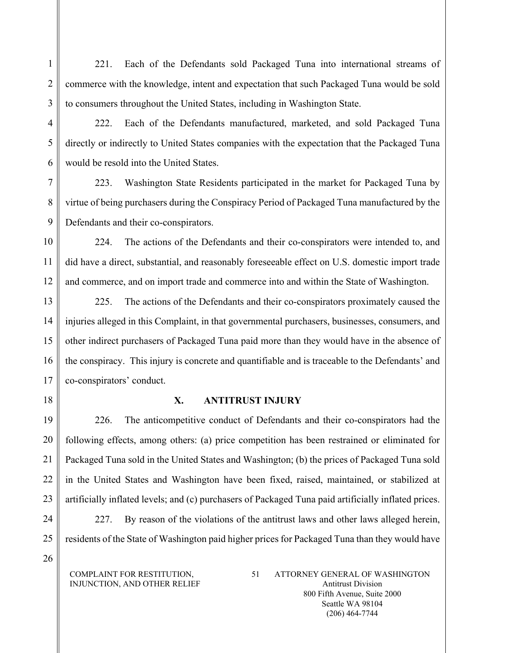221. Each of the Defendants sold Packaged Tuna into international streams of commerce with the knowledge, intent and expectation that such Packaged Tuna would be sold to consumers throughout the United States, including in Washington State.

222. Each of the Defendants manufactured, marketed, and sold Packaged Tuna directly or indirectly to United States companies with the expectation that the Packaged Tuna would be resold into the United States.

223. Washington State Residents participated in the market for Packaged Tuna by virtue of being purchasers during the Conspiracy Period of Packaged Tuna manufactured by the Defendants and their co-conspirators.

10 11 12 224. The actions of the Defendants and their co-conspirators were intended to, and did have a direct, substantial, and reasonably foreseeable effect on U.S. domestic import trade and commerce, and on import trade and commerce into and within the State of Washington.

13 14 15 16 17 225. The actions of the Defendants and their co-conspirators proximately caused the injuries alleged in this Complaint, in that governmental purchasers, businesses, consumers, and other indirect purchasers of Packaged Tuna paid more than they would have in the absence of the conspiracy. This injury is concrete and quantifiable and is traceable to the Defendants' and co-conspirators' conduct.

18

1

2

3

4

5

6

7

8

9

# **X. ANTITRUST INJURY**

19 20 21 22 23 226. The anticompetitive conduct of Defendants and their co-conspirators had the following effects, among others: (a) price competition has been restrained or eliminated for Packaged Tuna sold in the United States and Washington; (b) the prices of Packaged Tuna sold in the United States and Washington have been fixed, raised, maintained, or stabilized at artificially inflated levels; and (c) purchasers of Packaged Tuna paid artificially inflated prices.

- 24
- 25 26

COMPLAINT FOR RESTITUTION, INJUNCTION, AND OTHER RELIEF

residents of the State of Washington paid higher prices for Packaged Tuna than they would have

227. By reason of the violations of the antitrust laws and other laws alleged herein,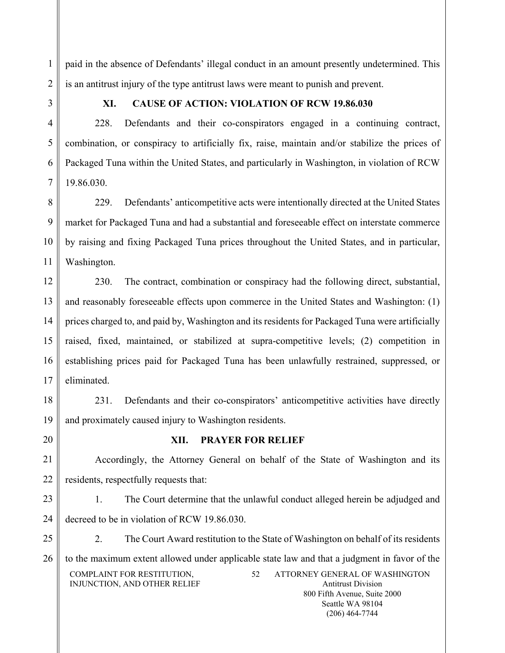paid in the absence of Defendants' illegal conduct in an amount presently undetermined. This is an antitrust injury of the type antitrust laws were meant to punish and prevent.

1

2

3

4

5

6

7

# **XI. CAUSE OF ACTION: VIOLATION OF RCW 19.86.030**

228. Defendants and their co-conspirators engaged in a continuing contract, combination, or conspiracy to artificially fix, raise, maintain and/or stabilize the prices of Packaged Tuna within the United States, and particularly in Washington, in violation of RCW 19.86.030.

8 9 10 11 229. Defendants' anticompetitive acts were intentionally directed at the United States market for Packaged Tuna and had a substantial and foreseeable effect on interstate commerce by raising and fixing Packaged Tuna prices throughout the United States, and in particular, Washington.

12 13 14 15 16 17 230. The contract, combination or conspiracy had the following direct, substantial, and reasonably foreseeable effects upon commerce in the United States and Washington: (1) prices charged to, and paid by, Washington and its residents for Packaged Tuna were artificially raised, fixed, maintained, or stabilized at supra-competitive levels; (2) competition in establishing prices paid for Packaged Tuna has been unlawfully restrained, suppressed, or eliminated.

18

19

20

# **XII. PRAYER FOR RELIEF**

and proximately caused injury to Washington residents.

231. Defendants and their co-conspirators' anticompetitive activities have directly

21 22 Accordingly, the Attorney General on behalf of the State of Washington and its residents, respectfully requests that:

23 24 1. The Court determine that the unlawful conduct alleged herein be adjudged and decreed to be in violation of RCW 19.86.030.

25 26 COMPLAINT FOR RESTITUTION, INJUNCTION, AND OTHER RELIEF 52 ATTORNEY GENERAL OF WASHINGTON Antitrust Division 2. The Court Award restitution to the State of Washington on behalf of its residents to the maximum extent allowed under applicable state law and that a judgment in favor of the

800 Fifth Avenue, Suite 2000 Seattle WA 98104 (206) 464-7744